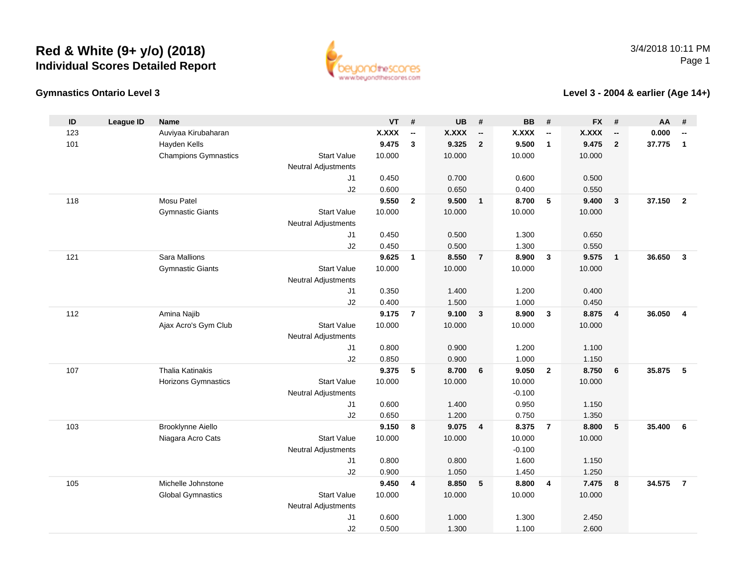

### **Gymnastics Ontario Level 3**

### **Level 3 - 2004 & earlier (Age 14+)**

| ID  | <b>League ID</b> | <b>Name</b>                 |                                  | <b>VT</b>      | #                        | <b>UB</b>      | #                        | <b>BB</b>      | #                        | <b>FX</b>      | #                        | <b>AA</b> | #                        |
|-----|------------------|-----------------------------|----------------------------------|----------------|--------------------------|----------------|--------------------------|----------------|--------------------------|----------------|--------------------------|-----------|--------------------------|
| 123 |                  | Auviyaa Kirubaharan         |                                  | <b>X.XXX</b>   | $\overline{\phantom{a}}$ | <b>X.XXX</b>   | $\overline{\phantom{a}}$ | <b>X.XXX</b>   | $\overline{\phantom{a}}$ | <b>X.XXX</b>   | $\overline{\phantom{a}}$ | 0.000     | $\overline{\phantom{a}}$ |
| 101 |                  | Hayden Kells                |                                  | 9.475          | $\mathbf{3}$             | 9.325          | $\overline{2}$           | 9.500          | $\mathbf{1}$             | 9.475          | $\overline{2}$           | 37.775    | $\mathbf{1}$             |
|     |                  | <b>Champions Gymnastics</b> | <b>Start Value</b>               | 10.000         |                          | 10.000         |                          | 10.000         |                          | 10.000         |                          |           |                          |
|     |                  |                             | <b>Neutral Adjustments</b>       |                |                          |                |                          |                |                          |                |                          |           |                          |
|     |                  |                             | J <sub>1</sub>                   | 0.450          |                          | 0.700          |                          | 0.600          |                          | 0.500          |                          |           |                          |
|     |                  |                             | J2                               | 0.600          |                          | 0.650          |                          | 0.400          |                          | 0.550          |                          |           |                          |
| 118 |                  | Mosu Patel                  |                                  | 9.550          | $\overline{2}$           | 9.500          | $\overline{\mathbf{1}}$  | 8.700          | 5                        | 9.400          | 3                        | 37.150    | $\overline{2}$           |
|     |                  | <b>Gymnastic Giants</b>     | <b>Start Value</b>               | 10.000         |                          | 10.000         |                          | 10.000         |                          | 10.000         |                          |           |                          |
|     |                  |                             | <b>Neutral Adjustments</b>       |                |                          |                |                          |                |                          |                |                          |           |                          |
|     |                  |                             | J <sub>1</sub>                   | 0.450          |                          | 0.500          |                          | 1.300          |                          | 0.650          |                          |           |                          |
|     |                  |                             | J2                               | 0.450          |                          | 0.500          |                          | 1.300          |                          | 0.550          |                          |           |                          |
| 121 |                  | Sara Mallions               |                                  | 9.625          | $\overline{1}$           | 8.550          | $\overline{7}$           | 8.900          | 3                        | 9.575          | $\mathbf{1}$             | 36.650    | $\overline{3}$           |
|     |                  | <b>Gymnastic Giants</b>     | <b>Start Value</b>               | 10.000         |                          | 10.000         |                          | 10.000         |                          | 10.000         |                          |           |                          |
|     |                  |                             | <b>Neutral Adjustments</b>       |                |                          |                |                          |                |                          |                |                          |           |                          |
|     |                  |                             | J <sub>1</sub>                   | 0.350          |                          | 1.400          |                          | 1.200          |                          | 0.400          |                          |           |                          |
|     |                  |                             | J2                               | 0.400          |                          | 1.500          |                          | 1.000          |                          | 0.450          |                          |           |                          |
| 112 |                  | Amina Najib                 |                                  | 9.175          | $\overline{7}$           | 9.100          | $\mathbf{3}$             | 8.900          | 3                        | 8.875          | 4                        | 36.050    | $\overline{4}$           |
|     |                  | Ajax Acro's Gym Club        | <b>Start Value</b>               | 10.000         |                          | 10.000         |                          | 10.000         |                          | 10.000         |                          |           |                          |
|     |                  |                             | <b>Neutral Adjustments</b>       |                |                          |                |                          |                |                          |                |                          |           |                          |
|     |                  |                             | J <sub>1</sub>                   | 0.800          |                          | 0.900          |                          | 1.200          |                          | 1.100          |                          |           |                          |
|     |                  |                             | J2                               | 0.850          |                          | 0.900          |                          | 1.000          |                          | 1.150          |                          |           |                          |
| 107 |                  | <b>Thalia Katinakis</b>     |                                  | 9.375          | 5                        | 8.700          | 6                        | 9.050          | $\overline{2}$           | 8.750          | $6\phantom{1}6$          | 35.875    | 5                        |
|     |                  | Horizons Gymnastics         | <b>Start Value</b>               | 10.000         |                          | 10.000         |                          | 10.000         |                          | 10.000         |                          |           |                          |
|     |                  |                             | Neutral Adjustments              |                |                          |                |                          | $-0.100$       |                          |                |                          |           |                          |
|     |                  |                             | J1                               | 0.600          |                          | 1.400          |                          | 0.950          |                          | 1.150          |                          |           |                          |
|     |                  |                             | J2                               | 0.650          |                          | 1.200          |                          | 0.750          |                          | 1.350          |                          |           |                          |
| 103 |                  | Brooklynne Aiello           |                                  | 9.150          | 8                        | 9.075          | $\overline{4}$           | 8.375          | $\overline{7}$           | 8.800          | 5                        | 35.400    | 6                        |
|     |                  | Niagara Acro Cats           | <b>Start Value</b>               | 10.000         |                          | 10.000         |                          | 10.000         |                          | 10.000         |                          |           |                          |
|     |                  |                             | <b>Neutral Adjustments</b>       |                |                          |                |                          | $-0.100$       |                          |                |                          |           |                          |
|     |                  |                             | J1                               | 0.800          |                          | 0.800          |                          | 1.600          |                          | 1.150          |                          |           |                          |
| 105 |                  | Michelle Johnstone          | J2                               | 0.900<br>9.450 |                          | 1.050<br>8.850 | 5                        | 1.450<br>8.800 | $\overline{4}$           | 1.250<br>7.475 | 8                        | 34.575    | $\overline{7}$           |
|     |                  |                             | <b>Start Value</b>               | 10.000         | 4                        | 10.000         |                          |                |                          |                |                          |           |                          |
|     |                  | <b>Global Gymnastics</b>    |                                  |                |                          |                |                          | 10.000         |                          | 10.000         |                          |           |                          |
|     |                  |                             | <b>Neutral Adjustments</b><br>J1 | 0.600          |                          | 1.000          |                          | 1.300          |                          | 2.450          |                          |           |                          |
|     |                  |                             | J2                               | 0.500          |                          | 1.300          |                          | 1.100          |                          | 2.600          |                          |           |                          |
|     |                  |                             |                                  |                |                          |                |                          |                |                          |                |                          |           |                          |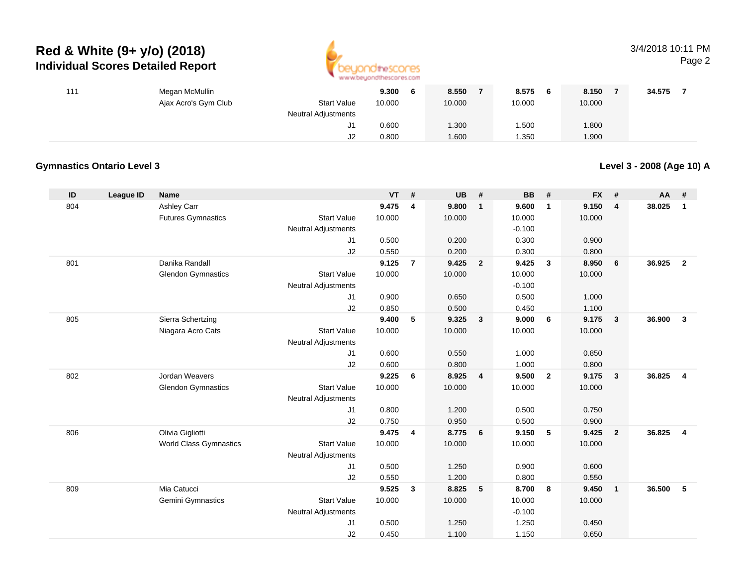

### 3/4/2018 10:11 PMPage 2

| 111 | Megan McMullin       |                            | 9.300<br>6 | 8.550  | 8.575<br>- 6 | 8.150  | 34.575 |
|-----|----------------------|----------------------------|------------|--------|--------------|--------|--------|
|     | Ajax Acro's Gym Club | <b>Start Value</b>         | 10.000     | 10.000 | 10.000       | 10.000 |        |
|     |                      | <b>Neutral Adjustments</b> |            |        |              |        |        |
|     |                      | ັບ                         | 0.600      | 1.300  | 1.500        | 1.800  |        |
|     |                      | J2                         | 0.800      | 1.600  | .350         | 1.900  |        |

### **Gymnastics Ontario Level 3**

**Level 3 - 2008 (Age 10) A**

| ID  | League ID | <b>Name</b>                   |                            | VT     | #              | <b>UB</b> | #                       | <b>BB</b> | #                       | <b>FX</b> | #                       | <b>AA</b> | #              |
|-----|-----------|-------------------------------|----------------------------|--------|----------------|-----------|-------------------------|-----------|-------------------------|-----------|-------------------------|-----------|----------------|
| 804 |           | Ashley Carr                   |                            | 9.475  | 4              | 9.800     | $\mathbf{1}$            | 9.600     | $\overline{\mathbf{1}}$ | 9.150     | $\overline{4}$          | 38.025    | $\mathbf{1}$   |
|     |           | <b>Futures Gymnastics</b>     | <b>Start Value</b>         | 10.000 |                | 10.000    |                         | 10.000    |                         | 10.000    |                         |           |                |
|     |           |                               | <b>Neutral Adjustments</b> |        |                |           |                         | $-0.100$  |                         |           |                         |           |                |
|     |           |                               | J1                         | 0.500  |                | 0.200     |                         | 0.300     |                         | 0.900     |                         |           |                |
|     |           |                               | J2                         | 0.550  |                | 0.200     |                         | 0.300     |                         | 0.800     |                         |           |                |
| 801 |           | Danika Randall                |                            | 9.125  | $\overline{7}$ | 9.425     | $\overline{2}$          | 9.425     | $\mathbf{3}$            | 8.950     | 6                       | 36.925    | $\overline{2}$ |
|     |           | <b>Glendon Gymnastics</b>     | <b>Start Value</b>         | 10.000 |                | 10.000    |                         | 10.000    |                         | 10.000    |                         |           |                |
|     |           |                               | <b>Neutral Adjustments</b> |        |                |           |                         | $-0.100$  |                         |           |                         |           |                |
|     |           |                               | J1                         | 0.900  |                | 0.650     |                         | 0.500     |                         | 1.000     |                         |           |                |
|     |           |                               | J2                         | 0.850  |                | 0.500     |                         | 0.450     |                         | 1.100     |                         |           |                |
| 805 |           | Sierra Schertzing             |                            | 9.400  | 5              | 9.325     | $\overline{\mathbf{3}}$ | 9.000     | 6                       | 9.175     | $\overline{\mathbf{3}}$ | 36,900    | $\mathbf{3}$   |
|     |           | Niagara Acro Cats             | <b>Start Value</b>         | 10.000 |                | 10.000    |                         | 10.000    |                         | 10.000    |                         |           |                |
|     |           |                               | <b>Neutral Adjustments</b> |        |                |           |                         |           |                         |           |                         |           |                |
|     |           |                               | J1                         | 0.600  |                | 0.550     |                         | 1.000     |                         | 0.850     |                         |           |                |
|     |           |                               | J2                         | 0.600  |                | 0.800     |                         | 1.000     |                         | 0.800     |                         |           |                |
| 802 |           | Jordan Weavers                |                            | 9.225  | 6              | 8.925     | 4                       | 9.500     | $\overline{2}$          | 9.175     | $\overline{\mathbf{3}}$ | 36.825    | $\overline{4}$ |
|     |           | <b>Glendon Gymnastics</b>     | <b>Start Value</b>         | 10.000 |                | 10.000    |                         | 10.000    |                         | 10.000    |                         |           |                |
|     |           |                               | <b>Neutral Adjustments</b> |        |                |           |                         |           |                         |           |                         |           |                |
|     |           |                               | J1                         | 0.800  |                | 1.200     |                         | 0.500     |                         | 0.750     |                         |           |                |
|     |           |                               | J2                         | 0.750  |                | 0.950     |                         | 0.500     |                         | 0.900     |                         |           |                |
| 806 |           | Olivia Gigliotti              |                            | 9.475  | 4              | 8.775     | 6                       | 9.150     | 5                       | 9.425     | $\overline{2}$          | 36.825    | $\overline{4}$ |
|     |           | <b>World Class Gymnastics</b> | <b>Start Value</b>         | 10.000 |                | 10.000    |                         | 10.000    |                         | 10.000    |                         |           |                |
|     |           |                               | <b>Neutral Adjustments</b> |        |                |           |                         |           |                         |           |                         |           |                |
|     |           |                               | J1                         | 0.500  |                | 1.250     |                         | 0.900     |                         | 0.600     |                         |           |                |
|     |           |                               | J2                         | 0.550  |                | 1.200     |                         | 0.800     |                         | 0.550     |                         |           |                |
| 809 |           | Mia Catucci                   |                            | 9.525  | 3              | 8.825     | 5                       | 8.700     | 8                       | 9.450     | $\overline{1}$          | 36.500    | 5              |
|     |           | Gemini Gymnastics             | <b>Start Value</b>         | 10.000 |                | 10.000    |                         | 10.000    |                         | 10.000    |                         |           |                |
|     |           |                               | <b>Neutral Adjustments</b> |        |                |           |                         | $-0.100$  |                         |           |                         |           |                |
|     |           |                               | J1                         | 0.500  |                | 1.250     |                         | 1.250     |                         | 0.450     |                         |           |                |
|     |           |                               | J2                         | 0.450  |                | 1.100     |                         | 1.150     |                         | 0.650     |                         |           |                |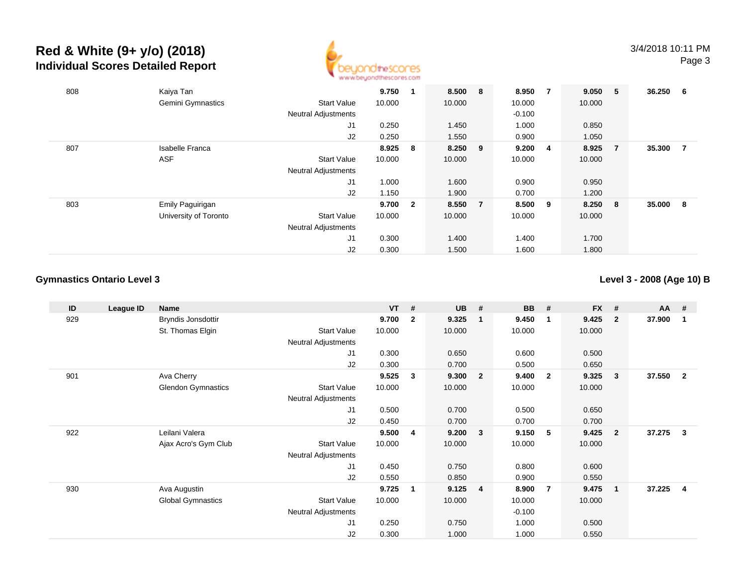

| 808 | Kaiya Tan              |                            | 9.750  |                         | 8.500 8   |                | 8.950    | - 7            | 9.050  | -5             | 36.250 | 6 |
|-----|------------------------|----------------------------|--------|-------------------------|-----------|----------------|----------|----------------|--------|----------------|--------|---|
|     | Gemini Gymnastics      | <b>Start Value</b>         | 10.000 |                         | 10.000    |                | 10.000   |                | 10.000 |                |        |   |
|     |                        | <b>Neutral Adjustments</b> |        |                         |           |                | $-0.100$ |                |        |                |        |   |
|     |                        | J1                         | 0.250  |                         | 1.450     |                | 1.000    |                | 0.850  |                |        |   |
|     |                        | J2                         | 0.250  |                         | 1.550     |                | 0.900    |                | 1.050  |                |        |   |
| 807 | <b>Isabelle Franca</b> |                            | 8.925  | $\bf{8}$                | $8.250$ 9 |                | 9.200    | $\overline{4}$ | 8.925  | $\overline{7}$ | 35.300 | 7 |
|     | <b>ASF</b>             | <b>Start Value</b>         | 10.000 |                         | 10.000    |                | 10.000   |                | 10.000 |                |        |   |
|     |                        | <b>Neutral Adjustments</b> |        |                         |           |                |          |                |        |                |        |   |
|     |                        | J1                         | 1.000  |                         | 1.600     |                | 0.900    |                | 0.950  |                |        |   |
|     |                        | J2                         | 1.150  |                         | 1.900     |                | 0.700    |                | 1.200  |                |        |   |
| 803 | Emily Paguirigan       |                            | 9.700  | $\overline{\mathbf{2}}$ | 8.550     | $\overline{7}$ | 8.500    | - 9            | 8.250  | - 8            | 35.000 | 8 |
|     | University of Toronto  | <b>Start Value</b>         | 10.000 |                         | 10.000    |                | 10.000   |                | 10.000 |                |        |   |
|     |                        | <b>Neutral Adjustments</b> |        |                         |           |                |          |                |        |                |        |   |
|     |                        | J1                         | 0.300  |                         | 1.400     |                | 1.400    |                | 1.700  |                |        |   |
|     |                        | J2                         | 0.300  |                         | 1.500     |                | 1.600    |                | 1.800  |                |        |   |

### **Gymnastics Ontario Level 3**

**Level 3 - 2008 (Age 10) B**

| ID  | League ID | Name                      |                            | $VT$ # |                | <b>UB</b> | #              | <b>BB</b> | #                       | <b>FX</b> | #                       | <b>AA</b> | #                       |
|-----|-----------|---------------------------|----------------------------|--------|----------------|-----------|----------------|-----------|-------------------------|-----------|-------------------------|-----------|-------------------------|
| 929 |           | Bryndis Jonsdottir        |                            | 9.700  | $\overline{2}$ | 9.325     | $\mathbf{1}$   | 9.450     | $\overline{\mathbf{1}}$ | 9.425     | $\overline{2}$          | 37.900    | -1                      |
|     |           | St. Thomas Elgin          | <b>Start Value</b>         | 10.000 |                | 10.000    |                | 10.000    |                         | 10.000    |                         |           |                         |
|     |           |                           | <b>Neutral Adjustments</b> |        |                |           |                |           |                         |           |                         |           |                         |
|     |           |                           | J1                         | 0.300  |                | 0.650     |                | 0.600     |                         | 0.500     |                         |           |                         |
|     |           |                           | J2                         | 0.300  |                | 0.700     |                | 0.500     |                         | 0.650     |                         |           |                         |
| 901 |           | Ava Cherry                |                            | 9.525  | 3              | 9.300     | $\mathbf{2}$   | 9.400     | $\overline{\mathbf{2}}$ | 9.325     | $\overline{\mathbf{3}}$ | 37.550    | $\overline{2}$          |
|     |           | <b>Glendon Gymnastics</b> | <b>Start Value</b>         | 10.000 |                | 10.000    |                | 10.000    |                         | 10.000    |                         |           |                         |
|     |           |                           | Neutral Adjustments        |        |                |           |                |           |                         |           |                         |           |                         |
|     |           |                           | J1                         | 0.500  |                | 0.700     |                | 0.500     |                         | 0.650     |                         |           |                         |
|     |           |                           | J2                         | 0.450  |                | 0.700     |                | 0.700     |                         | 0.700     |                         |           |                         |
| 922 |           | Leilani Valera            |                            | 9.500  | 4              | 9.200     | 3              | 9.150     | $-5$                    | 9.425     | $\overline{\mathbf{2}}$ | 37.275    | $\mathbf{3}$            |
|     |           | Ajax Acro's Gym Club      | <b>Start Value</b>         | 10.000 |                | 10.000    |                | 10.000    |                         | 10.000    |                         |           |                         |
|     |           |                           | <b>Neutral Adjustments</b> |        |                |           |                |           |                         |           |                         |           |                         |
|     |           |                           | J1                         | 0.450  |                | 0.750     |                | 0.800     |                         | 0.600     |                         |           |                         |
|     |           |                           | J2                         | 0.550  |                | 0.850     |                | 0.900     |                         | 0.550     |                         |           |                         |
| 930 |           | Ava Augustin              |                            | 9.725  | 1              | 9.125     | $\overline{4}$ | 8.900     | $\overline{7}$          | 9.475     | $\overline{\mathbf{1}}$ | 37.225    | $\overline{\mathbf{4}}$ |
|     |           | <b>Global Gymnastics</b>  | <b>Start Value</b>         | 10.000 |                | 10.000    |                | 10.000    |                         | 10.000    |                         |           |                         |
|     |           |                           | <b>Neutral Adjustments</b> |        |                |           |                | $-0.100$  |                         |           |                         |           |                         |
|     |           |                           | J1                         | 0.250  |                | 0.750     |                | 1.000     |                         | 0.500     |                         |           |                         |
|     |           |                           | J2                         | 0.300  |                | 1.000     |                | 1.000     |                         | 0.550     |                         |           |                         |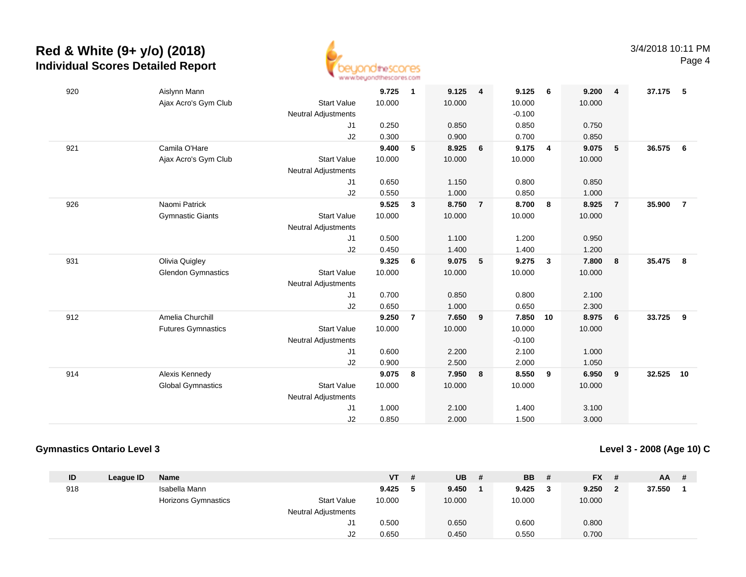

| 920 | Aislynn Mann                                    | 9.725  | $\mathbf{1}$   | 9.125  | $\overline{4}$ | 9.125    | - 6            | 9.200  | $\overline{\mathbf{4}}$ | 37.175 | - 5            |
|-----|-------------------------------------------------|--------|----------------|--------|----------------|----------|----------------|--------|-------------------------|--------|----------------|
|     | Ajax Acro's Gym Club<br><b>Start Value</b>      | 10.000 |                | 10.000 |                | 10.000   |                | 10.000 |                         |        |                |
|     | Neutral Adjustments                             |        |                |        |                | $-0.100$ |                |        |                         |        |                |
|     | J <sub>1</sub>                                  | 0.250  |                | 0.850  |                | 0.850    |                | 0.750  |                         |        |                |
|     | J2                                              | 0.300  |                | 0.900  |                | 0.700    |                | 0.850  |                         |        |                |
| 921 | Camila O'Hare                                   | 9.400  | 5              | 8.925  | 6              | 9.175    | $\overline{4}$ | 9.075  | 5                       | 36.575 | 6              |
|     | Ajax Acro's Gym Club<br><b>Start Value</b>      | 10.000 |                | 10.000 |                | 10.000   |                | 10.000 |                         |        |                |
|     | <b>Neutral Adjustments</b>                      |        |                |        |                |          |                |        |                         |        |                |
|     | J1                                              | 0.650  |                | 1.150  |                | 0.800    |                | 0.850  |                         |        |                |
|     | J2                                              | 0.550  |                | 1.000  |                | 0.850    |                | 1.000  |                         |        |                |
| 926 | Naomi Patrick                                   | 9.525  | $\mathbf{3}$   | 8.750  | $\overline{7}$ | 8.700    | 8              | 8.925  | $\overline{7}$          | 35.900 | $\overline{7}$ |
|     | <b>Start Value</b><br><b>Gymnastic Giants</b>   | 10.000 |                | 10.000 |                | 10.000   |                | 10.000 |                         |        |                |
|     | <b>Neutral Adjustments</b>                      |        |                |        |                |          |                |        |                         |        |                |
|     | J1                                              | 0.500  |                | 1.100  |                | 1.200    |                | 0.950  |                         |        |                |
|     | J2                                              | 0.450  |                | 1.400  |                | 1.400    |                | 1.200  |                         |        |                |
| 931 | Olivia Quigley                                  | 9.325  | 6              | 9.075  | 5              | 9.275    | $\mathbf{3}$   | 7.800  | 8                       | 35.475 | 8              |
|     | <b>Glendon Gymnastics</b><br><b>Start Value</b> | 10.000 |                | 10.000 |                | 10.000   |                | 10.000 |                         |        |                |
|     | <b>Neutral Adjustments</b>                      |        |                |        |                |          |                |        |                         |        |                |
|     | J1                                              | 0.700  |                | 0.850  |                | 0.800    |                | 2.100  |                         |        |                |
|     | J2                                              | 0.650  |                | 1.000  |                | 0.650    |                | 2.300  |                         |        |                |
| 912 | Amelia Churchill                                | 9.250  | $\overline{7}$ | 7.650  | 9              | 7.850    | 10             | 8.975  | 6                       | 33.725 | 9              |
|     | <b>Futures Gymnastics</b><br><b>Start Value</b> | 10.000 |                | 10.000 |                | 10.000   |                | 10.000 |                         |        |                |
|     | <b>Neutral Adjustments</b>                      |        |                |        |                | $-0.100$ |                |        |                         |        |                |
|     | J1                                              | 0.600  |                | 2.200  |                | 2.100    |                | 1.000  |                         |        |                |
|     | J2                                              | 0.900  |                | 2.500  |                | 2.000    |                | 1.050  |                         |        |                |
| 914 | Alexis Kennedy                                  | 9.075  | 8              | 7.950  | 8              | 8.550    | 9              | 6.950  | 9                       | 32.525 | 10             |
|     | <b>Global Gymnastics</b><br><b>Start Value</b>  | 10.000 |                | 10.000 |                | 10.000   |                | 10.000 |                         |        |                |
|     | <b>Neutral Adjustments</b>                      |        |                |        |                |          |                |        |                         |        |                |
|     | J1                                              | 1.000  |                | 2.100  |                | 1.400    |                | 3.100  |                         |        |                |
|     | J2                                              | 0.850  |                | 2.000  |                | 1.500    |                | 3.000  |                         |        |                |
|     |                                                 |        |                |        |                |          |                |        |                         |        |                |

### **Gymnastics Ontario Level 3**

**Level 3 - 2008 (Age 10) C**

| ID  | League ID | <b>Name</b>                |                            | VT     | # | <b>UB</b> | # | <b>BB</b> | <b>FX</b> | - #            | AA.    | - # |
|-----|-----------|----------------------------|----------------------------|--------|---|-----------|---|-----------|-----------|----------------|--------|-----|
| 918 |           | Isabella Mann              |                            | 9.425  |   | 9.450     |   | 9.425     | 9.250     | $\overline{2}$ | 37.550 |     |
|     |           | <b>Horizons Gymnastics</b> | <b>Start Value</b>         | 10.000 |   | 10.000    |   | 10.000    | 10.000    |                |        |     |
|     |           |                            | <b>Neutral Adjustments</b> |        |   |           |   |           |           |                |        |     |
|     |           |                            | J1                         | 0.500  |   | 0.650     |   | 0.600     | 0.800     |                |        |     |
|     |           |                            | J2                         | 0.650  |   | 0.450     |   | 0.550     | 0.700     |                |        |     |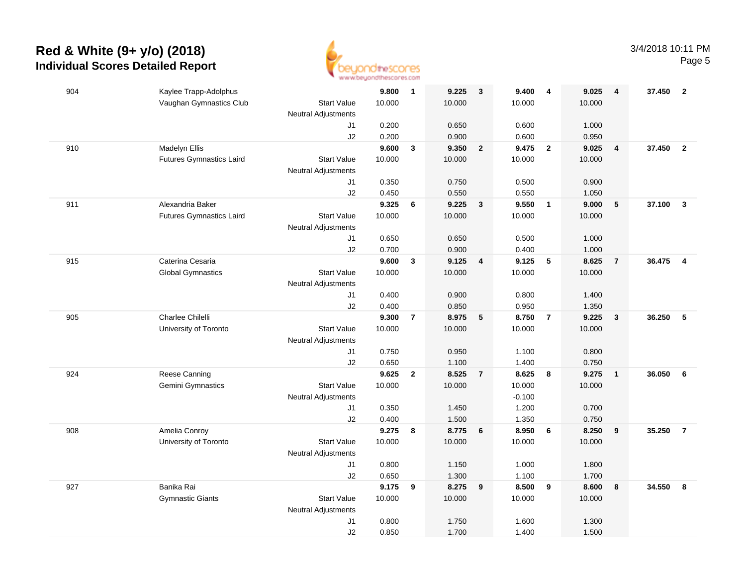

| 904 | Kaylee Trapp-Adolphus                                 | 9.800       | $\overline{\mathbf{1}}$ | 9.225  | $\overline{\mathbf{3}}$ | 9.400    | $\overline{4}$          | 9.025  | 4              | 37.450 | $\overline{\mathbf{2}}$ |
|-----|-------------------------------------------------------|-------------|-------------------------|--------|-------------------------|----------|-------------------------|--------|----------------|--------|-------------------------|
|     | Vaughan Gymnastics Club<br><b>Start Value</b>         | 10.000      |                         | 10.000 |                         | 10.000   |                         | 10.000 |                |        |                         |
|     | Neutral Adjustments                                   |             |                         |        |                         |          |                         |        |                |        |                         |
|     |                                                       | 0.200<br>J1 |                         | 0.650  |                         | 0.600    |                         | 1.000  |                |        |                         |
|     |                                                       | 0.200<br>J2 |                         | 0.900  |                         | 0.600    |                         | 0.950  |                |        |                         |
| 910 | Madelyn Ellis                                         | 9.600       | $\overline{\mathbf{3}}$ | 9.350  | $\overline{2}$          | 9.475    | $\overline{2}$          | 9.025  | $\overline{4}$ | 37,450 | $\overline{2}$          |
|     | <b>Futures Gymnastics Laird</b><br><b>Start Value</b> | 10.000      |                         | 10.000 |                         | 10.000   |                         | 10.000 |                |        |                         |
|     | <b>Neutral Adjustments</b>                            |             |                         |        |                         |          |                         |        |                |        |                         |
|     |                                                       | J1<br>0.350 |                         | 0.750  |                         | 0.500    |                         | 0.900  |                |        |                         |
|     |                                                       | J2<br>0.450 |                         | 0.550  |                         | 0.550    |                         | 1.050  |                |        |                         |
| 911 | Alexandria Baker                                      | 9.325       | 6                       | 9.225  | $\mathbf{3}$            | 9.550    | $\overline{1}$          | 9.000  | 5              | 37.100 | $\mathbf{3}$            |
|     | Start Value<br><b>Futures Gymnastics Laird</b>        | 10.000      |                         | 10.000 |                         | 10.000   |                         | 10.000 |                |        |                         |
|     | <b>Neutral Adjustments</b>                            |             |                         |        |                         |          |                         |        |                |        |                         |
|     |                                                       | 0.650<br>J1 |                         | 0.650  |                         | 0.500    |                         | 1.000  |                |        |                         |
|     |                                                       | J2<br>0.700 |                         | 0.900  |                         | 0.400    |                         | 1.000  |                |        |                         |
| 915 | Caterina Cesaria                                      | 9.600       | $\mathbf{3}$            | 9.125  | $\overline{4}$          | 9.125    | 5                       | 8.625  | $\overline{7}$ | 36.475 | $\overline{4}$          |
|     | <b>Global Gymnastics</b><br><b>Start Value</b>        | 10.000      |                         | 10.000 |                         | 10.000   |                         | 10.000 |                |        |                         |
|     | <b>Neutral Adjustments</b>                            |             |                         |        |                         |          |                         |        |                |        |                         |
|     |                                                       | 0.400<br>J1 |                         | 0.900  |                         | 0.800    |                         | 1.400  |                |        |                         |
|     |                                                       | J2<br>0.400 |                         | 0.850  |                         | 0.950    |                         | 1.350  |                |        |                         |
| 905 | Charlee Chilelli                                      | 9.300       | $\overline{7}$          | 8.975  | $-5$                    | 8.750    | $\overline{7}$          | 9.225  | $\mathbf{3}$   | 36.250 | $5\phantom{.0}$         |
|     | <b>Start Value</b><br>University of Toronto           | 10.000      |                         | 10.000 |                         | 10.000   |                         | 10.000 |                |        |                         |
|     | <b>Neutral Adjustments</b>                            |             |                         |        |                         |          |                         |        |                |        |                         |
|     |                                                       | 0.750<br>J1 |                         | 0.950  |                         | 1.100    |                         | 0.800  |                |        |                         |
|     |                                                       | J2<br>0.650 |                         | 1.100  |                         | 1.400    |                         | 0.750  |                |        |                         |
| 924 | Reese Canning                                         | 9.625       | $\overline{2}$          | 8.525  | $\overline{7}$          | 8.625    | $\overline{\mathbf{8}}$ | 9.275  | $\overline{1}$ | 36.050 | 6                       |
|     | Gemini Gymnastics<br><b>Start Value</b>               | 10.000      |                         | 10.000 |                         | 10.000   |                         | 10.000 |                |        |                         |
|     | <b>Neutral Adjustments</b>                            |             |                         |        |                         | $-0.100$ |                         |        |                |        |                         |
|     |                                                       | 0.350<br>J1 |                         | 1.450  |                         | 1.200    |                         | 0.700  |                |        |                         |
|     |                                                       | 0.400<br>J2 |                         | 1.500  |                         | 1.350    |                         | 0.750  |                |        |                         |
| 908 | Amelia Conroy                                         | 9.275       | 8                       | 8.775  | 6                       | 8.950    | 6                       | 8.250  | 9              | 35.250 | $\overline{7}$          |
|     | <b>Start Value</b><br>University of Toronto           | 10.000      |                         | 10.000 |                         | 10.000   |                         | 10.000 |                |        |                         |
|     | <b>Neutral Adjustments</b>                            |             |                         |        |                         |          |                         |        |                |        |                         |
|     |                                                       | 0.800<br>J1 |                         | 1.150  |                         | 1.000    |                         | 1.800  |                |        |                         |
|     |                                                       | 0.650<br>J2 |                         | 1.300  |                         | 1.100    |                         | 1.700  |                |        |                         |
| 927 | Banika Rai                                            | 9.175       | 9                       | 8.275  | 9                       | 8.500    | $\overline{\mathbf{9}}$ | 8.600  | 8              | 34.550 | 8                       |
|     | <b>Start Value</b><br><b>Gymnastic Giants</b>         | 10.000      |                         | 10.000 |                         | 10.000   |                         | 10.000 |                |        |                         |
|     | <b>Neutral Adjustments</b>                            |             |                         |        |                         |          |                         |        |                |        |                         |
|     |                                                       | 0.800<br>J1 |                         | 1.750  |                         | 1.600    |                         | 1.300  |                |        |                         |
|     |                                                       | J2<br>0.850 |                         | 1.700  |                         | 1.400    |                         | 1.500  |                |        |                         |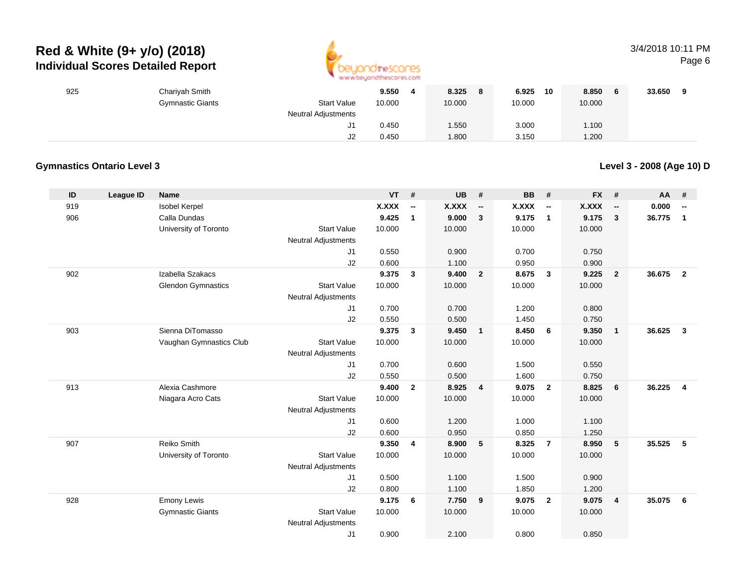

### 3/4/2018 10:11 PMPage 6

| 925 | Chariyah Smith          |                            | 9.550  | 8.325  | 6.925<br>10 | 8.850  | 33.650<br>$\mathbf{a}$ |
|-----|-------------------------|----------------------------|--------|--------|-------------|--------|------------------------|
|     | <b>Gymnastic Giants</b> | <b>Start Value</b>         | 10.000 | 10.000 | 10.000      | 10.000 |                        |
|     |                         | <b>Neutral Adjustments</b> |        |        |             |        |                        |
|     |                         | J1                         | 0.450  | 1.550  | 3.000       | 1.100  |                        |
|     |                         | J2                         | 0.450  | 1.800  | 3.150       | 1.200  |                        |

### **Gymnastics Ontario Level 3**

**Level 3 - 2008 (Age 10) D**

| ID  | <b>League ID</b> | <b>Name</b>               |                            | <b>VT</b>    | #                        | <b>UB</b> | #                        | BB     | #                        | <b>FX</b> | #                        | <b>AA</b> | #                        |
|-----|------------------|---------------------------|----------------------------|--------------|--------------------------|-----------|--------------------------|--------|--------------------------|-----------|--------------------------|-----------|--------------------------|
| 919 |                  | <b>Isobel Kerpel</b>      |                            | <b>X.XXX</b> | $\overline{\phantom{a}}$ | X.XXX     | $\overline{\phantom{a}}$ | X.XXX  | $\overline{\phantom{a}}$ | X.XXX     | $\overline{\phantom{a}}$ | 0.000     | $\overline{\phantom{a}}$ |
| 906 |                  | Calla Dundas              |                            | 9.425        | $\mathbf{1}$             | 9.000     | $\mathbf{3}$             | 9.175  | $\overline{1}$           | 9.175     | $\mathbf{3}$             | 36.775    | $\mathbf{1}$             |
|     |                  | University of Toronto     | <b>Start Value</b>         | 10.000       |                          | 10.000    |                          | 10.000 |                          | 10.000    |                          |           |                          |
|     |                  |                           | Neutral Adjustments        |              |                          |           |                          |        |                          |           |                          |           |                          |
|     |                  |                           | J1                         | 0.550        |                          | 0.900     |                          | 0.700  |                          | 0.750     |                          |           |                          |
|     |                  |                           | J2                         | 0.600        |                          | 1.100     |                          | 0.950  |                          | 0.900     |                          |           |                          |
| 902 |                  | Izabella Szakacs          |                            | 9.375        | $\mathbf{3}$             | 9.400     | $\overline{2}$           | 8.675  | $\mathbf{3}$             | 9.225     | $\overline{2}$           | 36.675    | $\overline{2}$           |
|     |                  | <b>Glendon Gymnastics</b> | <b>Start Value</b>         | 10.000       |                          | 10.000    |                          | 10.000 |                          | 10.000    |                          |           |                          |
|     |                  |                           | <b>Neutral Adjustments</b> |              |                          |           |                          |        |                          |           |                          |           |                          |
|     |                  |                           | J1                         | 0.700        |                          | 0.700     |                          | 1.200  |                          | 0.800     |                          |           |                          |
|     |                  |                           | J2                         | 0.550        |                          | 0.500     |                          | 1.450  |                          | 0.750     |                          |           |                          |
| 903 |                  | Sienna DiTomasso          |                            | 9.375        | $\mathbf{3}$             | 9.450     | $\overline{1}$           | 8.450  | 6                        | 9.350     | $\overline{1}$           | 36.625    | $\overline{\mathbf{3}}$  |
|     |                  | Vaughan Gymnastics Club   | <b>Start Value</b>         | 10.000       |                          | 10.000    |                          | 10.000 |                          | 10.000    |                          |           |                          |
|     |                  |                           | <b>Neutral Adjustments</b> |              |                          |           |                          |        |                          |           |                          |           |                          |
|     |                  |                           | J1                         | 0.700        |                          | 0.600     |                          | 1.500  |                          | 0.550     |                          |           |                          |
|     |                  |                           | J2                         | 0.550        |                          | 0.500     |                          | 1.600  |                          | 0.750     |                          |           |                          |
| 913 |                  | Alexia Cashmore           |                            | 9.400        | $\overline{2}$           | 8.925     | $\overline{4}$           | 9.075  | $\overline{2}$           | 8.825     | 6                        | 36.225    | $\overline{4}$           |
|     |                  | Niagara Acro Cats         | <b>Start Value</b>         | 10.000       |                          | 10.000    |                          | 10.000 |                          | 10.000    |                          |           |                          |
|     |                  |                           | Neutral Adjustments        |              |                          |           |                          |        |                          |           |                          |           |                          |
|     |                  |                           | J1                         | 0.600        |                          | 1.200     |                          | 1.000  |                          | 1.100     |                          |           |                          |
|     |                  |                           | J2                         | 0.600        |                          | 0.950     |                          | 0.850  |                          | 1.250     |                          |           |                          |
| 907 |                  | Reiko Smith               |                            | 9.350        | 4                        | 8.900     | 5                        | 8.325  | $\overline{7}$           | 8.950     | 5                        | 35.525    | 5                        |
|     |                  | University of Toronto     | <b>Start Value</b>         | 10.000       |                          | 10.000    |                          | 10.000 |                          | 10.000    |                          |           |                          |
|     |                  |                           | <b>Neutral Adjustments</b> |              |                          |           |                          |        |                          |           |                          |           |                          |
|     |                  |                           | J1                         | 0.500        |                          | 1.100     |                          | 1.500  |                          | 0.900     |                          |           |                          |
|     |                  |                           | J2                         | 0.800        |                          | 1.100     |                          | 1.850  |                          | 1.200     |                          |           |                          |
| 928 |                  | <b>Emony Lewis</b>        |                            | 9.175        | 6                        | 7.750     | 9                        | 9.075  | $\overline{\mathbf{2}}$  | 9.075     | $\overline{4}$           | 35.075    | 6                        |
|     |                  | <b>Gymnastic Giants</b>   | <b>Start Value</b>         | 10.000       |                          | 10.000    |                          | 10.000 |                          | 10.000    |                          |           |                          |
|     |                  |                           | <b>Neutral Adjustments</b> |              |                          |           |                          |        |                          |           |                          |           |                          |
|     |                  |                           | J <sub>1</sub>             | 0.900        |                          | 2.100     |                          | 0.800  |                          | 0.850     |                          |           |                          |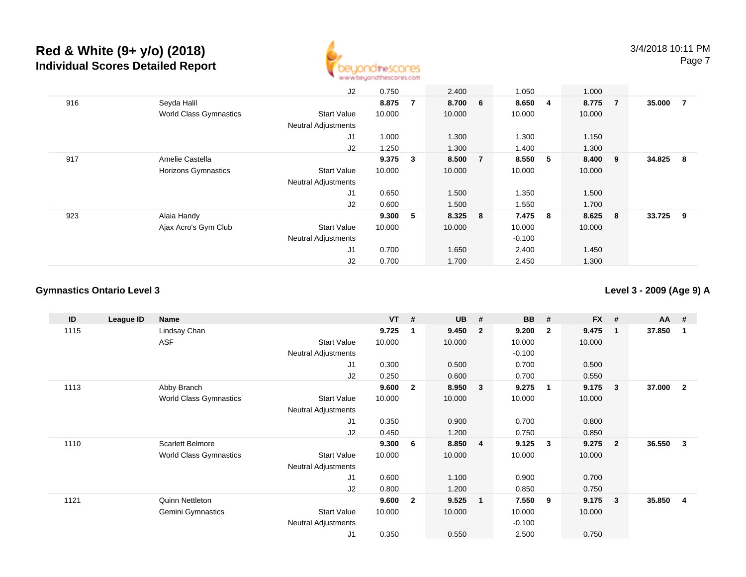

|     |                               | J2                         | 0.750  |    | 2.400   |                | 1.050    |   | 1.000   |     |        |                |
|-----|-------------------------------|----------------------------|--------|----|---------|----------------|----------|---|---------|-----|--------|----------------|
| 916 | Seyda Halil                   |                            | 8.875  | -7 | 8.700 6 |                | 8.650    | 4 | 8.775 7 |     | 35.000 | $\overline{7}$ |
|     | <b>World Class Gymnastics</b> | <b>Start Value</b>         | 10.000 |    | 10.000  |                | 10.000   |   | 10.000  |     |        |                |
|     |                               | <b>Neutral Adjustments</b> |        |    |         |                |          |   |         |     |        |                |
|     |                               | J <sub>1</sub>             | 1.000  |    | 1.300   |                | 1.300    |   | 1.150   |     |        |                |
|     |                               | J2                         | 1.250  |    | 1.300   |                | 1.400    |   | 1.300   |     |        |                |
| 917 | Amelie Castella               |                            | 9.375  | 3  | 8.500   | $\overline{7}$ | 8.550    | 5 | 8.400   | - 9 | 34.825 | - 8            |
|     | <b>Horizons Gymnastics</b>    | <b>Start Value</b>         | 10.000 |    | 10.000  |                | 10.000   |   | 10.000  |     |        |                |
|     |                               | <b>Neutral Adjustments</b> |        |    |         |                |          |   |         |     |        |                |
|     |                               | J <sub>1</sub>             | 0.650  |    | 1.500   |                | 1.350    |   | 1.500   |     |        |                |
|     |                               | J2                         | 0.600  |    | 1.500   |                | 1.550    |   | 1.700   |     |        |                |
| 923 | Alaia Handy                   |                            | 9.300  | 5  | 8.325 8 |                | 7.475 8  |   | 8.625   | 8   | 33.725 | - 9            |
|     | Ajax Acro's Gym Club          | <b>Start Value</b>         | 10.000 |    | 10.000  |                | 10.000   |   | 10.000  |     |        |                |
|     |                               | <b>Neutral Adjustments</b> |        |    |         |                | $-0.100$ |   |         |     |        |                |
|     |                               | J <sub>1</sub>             | 0.700  |    | 1.650   |                | 2.400    |   | 1.450   |     |        |                |
|     |                               | J2                         | 0.700  |    | 1.700   |                | 2.450    |   | 1.300   |     |        |                |

### **Gymnastics Ontario Level 3**

**Level 3 - 2009 (Age 9) A**

| ID   | League ID | <b>Name</b>                   |                            | <b>VT</b> | #              | <b>UB</b> | #                       | <b>BB</b> | #            | <b>FX</b> | #              | AA     | #                       |
|------|-----------|-------------------------------|----------------------------|-----------|----------------|-----------|-------------------------|-----------|--------------|-----------|----------------|--------|-------------------------|
| 1115 |           | Lindsay Chan                  |                            | 9.725     | 1              | 9.450     | $\overline{\mathbf{2}}$ | 9.200     | $\mathbf{2}$ | 9.475     | 1              | 37.850 | -1                      |
|      |           | ASF                           | <b>Start Value</b>         | 10.000    |                | 10.000    |                         | 10.000    |              | 10.000    |                |        |                         |
|      |           |                               | <b>Neutral Adjustments</b> |           |                |           |                         | $-0.100$  |              |           |                |        |                         |
|      |           |                               | J <sub>1</sub>             | 0.300     |                | 0.500     |                         | 0.700     |              | 0.500     |                |        |                         |
|      |           |                               | J <sub>2</sub>             | 0.250     |                | 0.600     |                         | 0.700     |              | 0.550     |                |        |                         |
| 1113 |           | Abby Branch                   |                            | 9.600     | $\mathbf{2}$   | 8.950     | $\mathbf{3}$            | 9.275     | -1           | 9.175     | 3              | 37.000 | $\mathbf{2}$            |
|      |           | World Class Gymnastics        | <b>Start Value</b>         | 10.000    |                | 10.000    |                         | 10.000    |              | 10.000    |                |        |                         |
|      |           |                               | Neutral Adjustments        |           |                |           |                         |           |              |           |                |        |                         |
|      |           |                               | J1                         | 0.350     |                | 0.900     |                         | 0.700     |              | 0.800     |                |        |                         |
|      |           |                               | J <sub>2</sub>             | 0.450     |                | 1.200     |                         | 0.750     |              | 0.850     |                |        |                         |
| 1110 |           | <b>Scarlett Belmore</b>       |                            | 9.300     | 6              | 8.850     | $\overline{4}$          | 9.125     | 3            | 9.275     | $\overline{2}$ | 36.550 | 3                       |
|      |           | <b>World Class Gymnastics</b> | <b>Start Value</b>         | 10.000    |                | 10.000    |                         | 10.000    |              | 10.000    |                |        |                         |
|      |           |                               | Neutral Adjustments        |           |                |           |                         |           |              |           |                |        |                         |
|      |           |                               | J <sub>1</sub>             | 0.600     |                | 1.100     |                         | 0.900     |              | 0.700     |                |        |                         |
|      |           |                               | J <sub>2</sub>             | 0.800     |                | 1.200     |                         | 0.850     |              | 0.750     |                |        |                         |
| 1121 |           | Quinn Nettleton               |                            | 9.600     | $\overline{2}$ | 9.525     | $\overline{\mathbf{1}}$ | 7.550     | 9            | 9.175     | 3              | 35.850 | $\overline{\mathbf{4}}$ |
|      |           | Gemini Gymnastics             | <b>Start Value</b>         | 10.000    |                | 10.000    |                         | 10.000    |              | 10.000    |                |        |                         |
|      |           |                               | <b>Neutral Adjustments</b> |           |                |           |                         | $-0.100$  |              |           |                |        |                         |
|      |           |                               | J <sub>1</sub>             | 0.350     |                | 0.550     |                         | 2.500     |              | 0.750     |                |        |                         |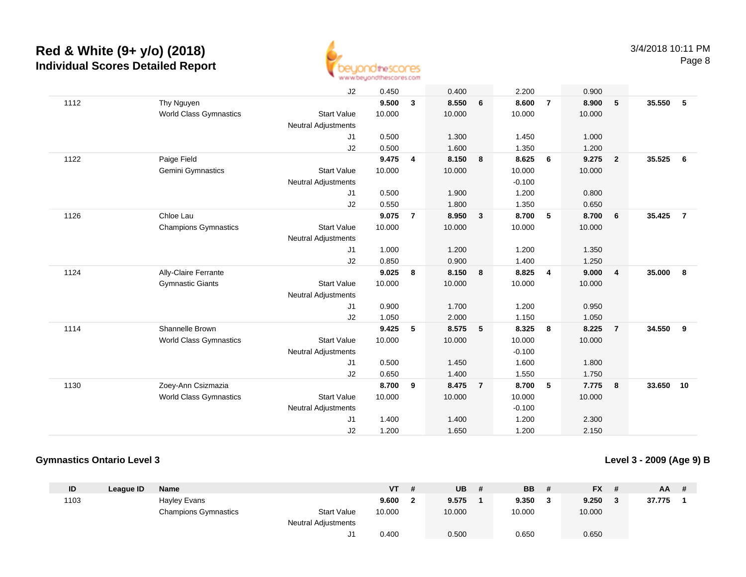

|      |                               | J2                         | 0.450  |                | 0.400  |                | 2.200    |                 | 0.900  |                         |        |                |
|------|-------------------------------|----------------------------|--------|----------------|--------|----------------|----------|-----------------|--------|-------------------------|--------|----------------|
| 1112 | Thy Nguyen                    |                            | 9.500  | 3              | 8.550  | 6              | 8.600    | $\overline{7}$  | 8.900  | 5                       | 35.550 | 5              |
|      | <b>World Class Gymnastics</b> | <b>Start Value</b>         | 10.000 |                | 10.000 |                | 10.000   |                 | 10.000 |                         |        |                |
|      |                               | <b>Neutral Adjustments</b> |        |                |        |                |          |                 |        |                         |        |                |
|      |                               | J1                         | 0.500  |                | 1.300  |                | 1.450    |                 | 1.000  |                         |        |                |
|      |                               | J2                         | 0.500  |                | 1.600  |                | 1.350    |                 | 1.200  |                         |        |                |
| 1122 | Paige Field                   |                            | 9.475  | 4              | 8.150  | 8              | 8.625    | 6               | 9.275  | $\overline{2}$          | 35.525 | 6              |
|      | Gemini Gymnastics             | <b>Start Value</b>         | 10.000 |                | 10.000 |                | 10.000   |                 | 10.000 |                         |        |                |
|      |                               | <b>Neutral Adjustments</b> |        |                |        |                | $-0.100$ |                 |        |                         |        |                |
|      |                               | J1                         | 0.500  |                | 1.900  |                | 1.200    |                 | 0.800  |                         |        |                |
|      |                               | J2                         | 0.550  |                | 1.800  |                | 1.350    |                 | 0.650  |                         |        |                |
| 1126 | Chloe Lau                     |                            | 9.075  | $\overline{7}$ | 8.950  | $\mathbf{3}$   | 8.700    | 5               | 8.700  | - 6                     | 35.425 | $\overline{7}$ |
|      | <b>Champions Gymnastics</b>   | <b>Start Value</b>         | 10.000 |                | 10.000 |                | 10.000   |                 | 10.000 |                         |        |                |
|      |                               | <b>Neutral Adjustments</b> |        |                |        |                |          |                 |        |                         |        |                |
|      |                               | J1                         | 1.000  |                | 1.200  |                | 1.200    |                 | 1.350  |                         |        |                |
|      |                               | J2                         | 0.850  |                | 0.900  |                | 1.400    |                 | 1.250  |                         |        |                |
| 1124 | Ally-Claire Ferrante          |                            | 9.025  | 8              | 8.150  | 8              | 8.825    | $\overline{4}$  | 9.000  | $\overline{\mathbf{4}}$ | 35,000 | 8              |
|      | <b>Gymnastic Giants</b>       | <b>Start Value</b>         | 10.000 |                | 10.000 |                | 10.000   |                 | 10.000 |                         |        |                |
|      |                               | <b>Neutral Adjustments</b> |        |                |        |                |          |                 |        |                         |        |                |
|      |                               | J1                         | 0.900  |                | 1.700  |                | 1.200    |                 | 0.950  |                         |        |                |
|      |                               | J2                         | 1.050  |                | 2.000  |                | 1.150    |                 | 1.050  |                         |        |                |
| 1114 | Shannelle Brown               |                            | 9.425  | 5              | 8.575  | 5              | 8.325    | 8               | 8.225  | $\overline{7}$          | 34.550 | 9              |
|      | World Class Gymnastics        | <b>Start Value</b>         | 10.000 |                | 10.000 |                | 10.000   |                 | 10.000 |                         |        |                |
|      |                               | <b>Neutral Adjustments</b> |        |                |        |                | $-0.100$ |                 |        |                         |        |                |
|      |                               | J1                         | 0.500  |                | 1.450  |                | 1.600    |                 | 1.800  |                         |        |                |
|      |                               | J2                         | 0.650  |                | 1.400  |                | 1.550    |                 | 1.750  |                         |        |                |
| 1130 | Zoey-Ann Csizmazia            |                            | 8.700  | 9              | 8.475  | $\overline{7}$ | 8.700    | $5\overline{5}$ | 7.775  | $\overline{\mathbf{8}}$ | 33.650 | 10             |
|      | <b>World Class Gymnastics</b> | <b>Start Value</b>         | 10.000 |                | 10.000 |                | 10.000   |                 | 10.000 |                         |        |                |
|      |                               | Neutral Adjustments        |        |                |        |                | $-0.100$ |                 |        |                         |        |                |
|      |                               | J <sub>1</sub>             | 1.400  |                | 1.400  |                | 1.200    |                 | 2.300  |                         |        |                |
|      |                               | J2                         | 1.200  |                | 1.650  |                | 1.200    |                 | 2.150  |                         |        |                |
|      |                               |                            |        |                |        |                |          |                 |        |                         |        |                |

### **Gymnastics Ontario Level 3**

**Level 3 - 2009 (Age 9) B**

| ID   | League ID | <b>Name</b>                 |                            | ۷T     | <b>UB</b> | <b>BB</b> |         | <b>FX</b> | <b>AA</b> | # |
|------|-----------|-----------------------------|----------------------------|--------|-----------|-----------|---------|-----------|-----------|---|
| 1103 |           | <b>Hayley Evans</b>         |                            | 9.600  | 9.575     | 9.350     | $\cdot$ | 9.250     | 37.775    |   |
|      |           | <b>Champions Gymnastics</b> | <b>Start Value</b>         | 10.000 | 10.000    | 10.000    |         | 10.000    |           |   |
|      |           |                             | <b>Neutral Adjustments</b> |        |           |           |         |           |           |   |
|      |           |                             |                            | 0.400  | 0.500     | 0.650     |         | 0.650     |           |   |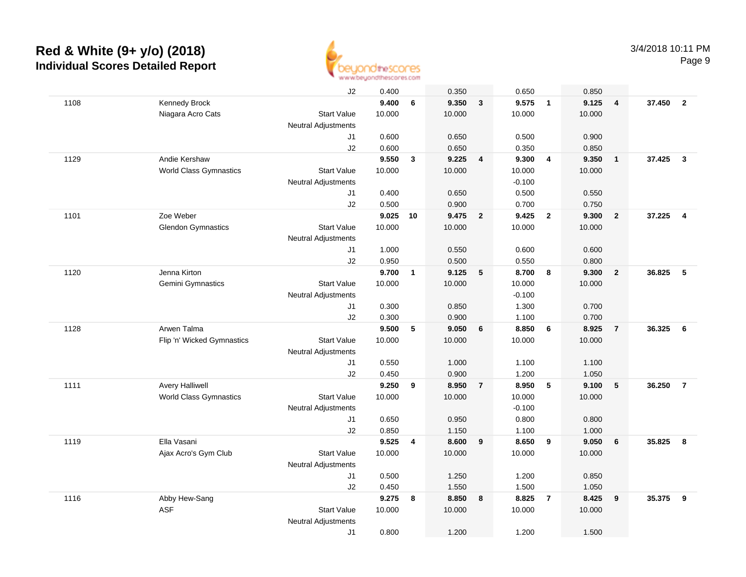

|      |                               | J2                         | 0.400  |              | 0.350  |                         | 0.650    |                         | 0.850  |                |          |                         |
|------|-------------------------------|----------------------------|--------|--------------|--------|-------------------------|----------|-------------------------|--------|----------------|----------|-------------------------|
| 1108 | Kennedy Brock                 |                            | 9.400  | 6            | 9.350  | $\overline{3}$          | 9.575    | $\overline{1}$          | 9.125  | $\overline{4}$ | 37.450 2 |                         |
|      | Niagara Acro Cats             | <b>Start Value</b>         | 10.000 |              | 10.000 |                         | 10.000   |                         | 10.000 |                |          |                         |
|      |                               | <b>Neutral Adjustments</b> |        |              |        |                         |          |                         |        |                |          |                         |
|      |                               | J1                         | 0.600  |              | 0.650  |                         | 0.500    |                         | 0.900  |                |          |                         |
|      |                               | J2                         | 0.600  |              | 0.650  |                         | 0.350    |                         | 0.850  |                |          |                         |
| 1129 | Andie Kershaw                 |                            | 9.550  | $\mathbf{3}$ | 9.225  | $\overline{\mathbf{4}}$ | 9.300    | $\overline{4}$          | 9.350  | $\overline{1}$ | 37.425   | $\overline{\mathbf{3}}$ |
|      | <b>World Class Gymnastics</b> | <b>Start Value</b>         | 10.000 |              | 10.000 |                         | 10.000   |                         | 10.000 |                |          |                         |
|      |                               | <b>Neutral Adjustments</b> |        |              |        |                         | $-0.100$ |                         |        |                |          |                         |
|      |                               | J1                         | 0.400  |              | 0.650  |                         | 0.500    |                         | 0.550  |                |          |                         |
|      |                               | J2                         | 0.500  |              | 0.900  |                         | 0.700    |                         | 0.750  |                |          |                         |
| 1101 | Zoe Weber                     |                            | 9.025  | 10           | 9.475  | $\overline{\mathbf{2}}$ | 9.425    | $\overline{\mathbf{2}}$ | 9.300  | $\overline{2}$ | 37.225   | $\overline{4}$          |
|      | <b>Glendon Gymnastics</b>     | <b>Start Value</b>         | 10.000 |              | 10.000 |                         | 10.000   |                         | 10.000 |                |          |                         |
|      |                               | Neutral Adjustments        |        |              |        |                         |          |                         |        |                |          |                         |
|      |                               | J1                         | 1.000  |              | 0.550  |                         | 0.600    |                         | 0.600  |                |          |                         |
|      |                               | J2                         | 0.950  |              | 0.500  |                         | 0.550    |                         | 0.800  |                |          |                         |
| 1120 | Jenna Kirton                  |                            | 9.700  | $\mathbf{1}$ | 9.125  | 5                       | 8.700    | 8                       | 9.300  | $\overline{2}$ | 36.825   | 5                       |
|      | Gemini Gymnastics             | <b>Start Value</b>         | 10.000 |              | 10.000 |                         | 10.000   |                         | 10.000 |                |          |                         |
|      |                               | Neutral Adjustments        |        |              |        |                         | $-0.100$ |                         |        |                |          |                         |
|      |                               | J1                         | 0.300  |              | 0.850  |                         | 1.300    |                         | 0.700  |                |          |                         |
|      |                               | J2                         | 0.300  |              | 0.900  |                         | 1.100    |                         | 0.700  |                |          |                         |
| 1128 | Arwen Talma                   |                            | 9.500  | 5            | 9.050  | 6                       | 8.850    | 6                       | 8.925  | $\overline{7}$ | 36.325   | 6                       |
|      | Flip 'n' Wicked Gymnastics    | <b>Start Value</b>         | 10.000 |              | 10.000 |                         | 10.000   |                         | 10.000 |                |          |                         |
|      |                               | <b>Neutral Adjustments</b> |        |              |        |                         |          |                         |        |                |          |                         |
|      |                               | J1                         | 0.550  |              | 1.000  |                         | 1.100    |                         | 1.100  |                |          |                         |
|      |                               | J2                         | 0.450  |              | 0.900  |                         | 1.200    |                         | 1.050  |                |          |                         |
| 1111 | <b>Avery Halliwell</b>        |                            | 9.250  | 9            | 8.950  | $\overline{7}$          | 8.950    | 5                       | 9.100  | 5              | 36.250   | $\overline{7}$          |
|      | <b>World Class Gymnastics</b> | <b>Start Value</b>         | 10.000 |              | 10.000 |                         | 10.000   |                         | 10.000 |                |          |                         |
|      |                               | <b>Neutral Adjustments</b> |        |              |        |                         | $-0.100$ |                         |        |                |          |                         |
|      |                               | J1                         | 0.650  |              | 0.950  |                         | 0.800    |                         | 0.800  |                |          |                         |
|      |                               | J2                         | 0.850  |              | 1.150  |                         | 1.100    |                         | 1.000  |                |          |                         |
| 1119 | Ella Vasani                   |                            | 9.525  | 4            | 8.600  | 9                       | 8.650    | 9                       | 9.050  | 6              | 35.825   | 8                       |
|      | Ajax Acro's Gym Club          | <b>Start Value</b>         | 10.000 |              | 10.000 |                         | 10.000   |                         | 10.000 |                |          |                         |
|      |                               | <b>Neutral Adjustments</b> |        |              |        |                         |          |                         |        |                |          |                         |
|      |                               | J1                         | 0.500  |              | 1.250  |                         | 1.200    |                         | 0.850  |                |          |                         |
|      |                               | J2                         | 0.450  |              | 1.550  |                         | 1.500    |                         | 1.050  |                |          |                         |
| 1116 | Abby Hew-Sang                 |                            | 9.275  | 8            | 8.850  | 8                       | 8.825    | $\overline{7}$          | 8.425  | 9              | 35.375   | 9                       |
|      | <b>ASF</b>                    | <b>Start Value</b>         | 10.000 |              | 10.000 |                         | 10.000   |                         | 10.000 |                |          |                         |
|      |                               | <b>Neutral Adjustments</b> |        |              |        |                         |          |                         |        |                |          |                         |
|      |                               | J1                         | 0.800  |              | 1.200  |                         | 1.200    |                         | 1.500  |                |          |                         |
|      |                               |                            |        |              |        |                         |          |                         |        |                |          |                         |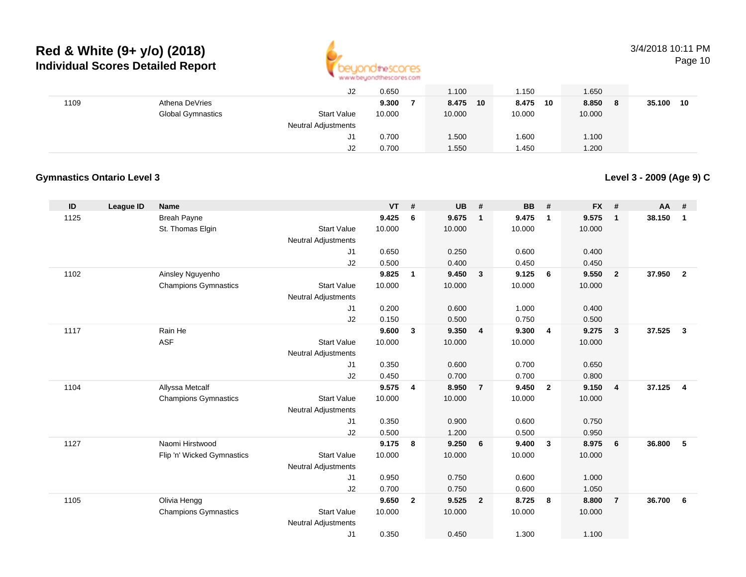

### 3/4/2018 10:11 PMPage 10

|      |                          | J2                         | 0.650  | 1.100       | .150         | 1.650        |              |
|------|--------------------------|----------------------------|--------|-------------|--------------|--------------|--------------|
| 1109 | Athena DeVries           |                            | 9.300  | 8.475<br>10 | 8.475<br>-10 | 8.850<br>- 8 | 35.100<br>10 |
|      | <b>Global Gymnastics</b> | <b>Start Value</b>         | 10.000 | 10.000      | 10.000       | 10.000       |              |
|      |                          | <b>Neutral Adjustments</b> |        |             |              |              |              |
|      |                          | J1                         | 0.700  | 1.500       | .600         | 1.100        |              |
|      |                          | J2                         | 0.700  | 1.550       | 1.450        | 1.200        |              |

### **Gymnastics Ontario Level 3**

**Level 3 - 2009 (Age 9) C**

| ID   | League ID | <b>Name</b>                 |                            | $VT$ #         |                | <b>UB</b>      | #              | <b>BB</b>      | #                       | <b>FX</b>      | #                       | AA     | #                       |
|------|-----------|-----------------------------|----------------------------|----------------|----------------|----------------|----------------|----------------|-------------------------|----------------|-------------------------|--------|-------------------------|
| 1125 |           | <b>Breah Payne</b>          |                            | 9.425          | 6              | 9.675          | $\overline{1}$ | 9.475          | $\mathbf{1}$            | 9.575          | $\overline{\mathbf{1}}$ | 38.150 | $\mathbf{1}$            |
|      |           | St. Thomas Elgin            | <b>Start Value</b>         | 10.000         |                | 10.000         |                | 10.000         |                         | 10.000         |                         |        |                         |
|      |           |                             | <b>Neutral Adjustments</b> |                |                |                |                |                |                         |                |                         |        |                         |
|      |           |                             | J1                         | 0.650          |                | 0.250          |                | 0.600          |                         | 0.400          |                         |        |                         |
|      |           |                             | J2                         | 0.500          |                | 0.400          |                | 0.450          |                         | 0.450          |                         |        |                         |
| 1102 |           | Ainsley Nguyenho            |                            | 9.825          | $\mathbf{1}$   | 9.450          | 3              | 9.125          | 6                       | 9.550          | $\overline{\mathbf{2}}$ | 37.950 | $\overline{2}$          |
|      |           | <b>Champions Gymnastics</b> | <b>Start Value</b>         | 10.000         |                | 10.000         |                | 10.000         |                         | 10.000         |                         |        |                         |
|      |           |                             | <b>Neutral Adjustments</b> |                |                |                |                |                |                         |                |                         |        |                         |
|      |           |                             | J1<br>J2                   | 0.200<br>0.150 |                | 0.600<br>0.500 |                | 1.000<br>0.750 |                         | 0.400          |                         |        |                         |
| 1117 |           | Rain He                     |                            | 9.600          | 3              | 9.350          | $\overline{4}$ | 9.300          | $\overline{4}$          | 0.500<br>9.275 | $\mathbf{3}$            | 37.525 | $\overline{\mathbf{3}}$ |
|      |           | <b>ASF</b>                  | <b>Start Value</b>         | 10.000         |                | 10.000         |                | 10.000         |                         | 10.000         |                         |        |                         |
|      |           |                             | <b>Neutral Adjustments</b> |                |                |                |                |                |                         |                |                         |        |                         |
|      |           |                             | J1                         | 0.350          |                | 0.600          |                | 0.700          |                         | 0.650          |                         |        |                         |
|      |           |                             | J2                         | 0.450          |                | 0.700          |                | 0.700          |                         | 0.800          |                         |        |                         |
| 1104 |           | Allyssa Metcalf             |                            | 9.575          | 4              | 8.950          | $\overline{7}$ | 9.450          | $\overline{\mathbf{2}}$ | 9.150          | $\overline{4}$          | 37.125 | $\overline{4}$          |
|      |           | <b>Champions Gymnastics</b> | <b>Start Value</b>         | 10.000         |                | 10.000         |                | 10.000         |                         | 10.000         |                         |        |                         |
|      |           |                             | <b>Neutral Adjustments</b> |                |                |                |                |                |                         |                |                         |        |                         |
|      |           |                             | J1                         | 0.350          |                | 0.900          |                | 0.600          |                         | 0.750          |                         |        |                         |
|      |           |                             | J2                         | 0.500          |                | 1.200          |                | 0.500          |                         | 0.950          |                         |        |                         |
| 1127 |           | Naomi Hirstwood             |                            | 9.175          | 8              | 9.250          | 6              | 9.400          | $\mathbf{3}$            | 8.975          | 6                       | 36.800 | 5                       |
|      |           | Flip 'n' Wicked Gymnastics  | <b>Start Value</b>         | 10.000         |                | 10.000         |                | 10.000         |                         | 10.000         |                         |        |                         |
|      |           |                             | <b>Neutral Adjustments</b> |                |                |                |                |                |                         |                |                         |        |                         |
|      |           |                             | J1                         | 0.950          |                | 0.750          |                | 0.600          |                         | 1.000          |                         |        |                         |
|      |           |                             | J2                         | 0.700          |                | 0.750          |                | 0.600          |                         | 1.050          |                         |        |                         |
| 1105 |           | Olivia Hengg                |                            | 9.650          | $\overline{2}$ | 9.525          | $\overline{2}$ | 8.725          | 8                       | 8.800          | $\overline{7}$          | 36.700 | 6                       |
|      |           | <b>Champions Gymnastics</b> | <b>Start Value</b>         | 10.000         |                | 10.000         |                | 10.000         |                         | 10.000         |                         |        |                         |
|      |           |                             | <b>Neutral Adjustments</b> |                |                |                |                |                |                         |                |                         |        |                         |
|      |           |                             | J <sub>1</sub>             | 0.350          |                | 0.450          |                | 1.300          |                         | 1.100          |                         |        |                         |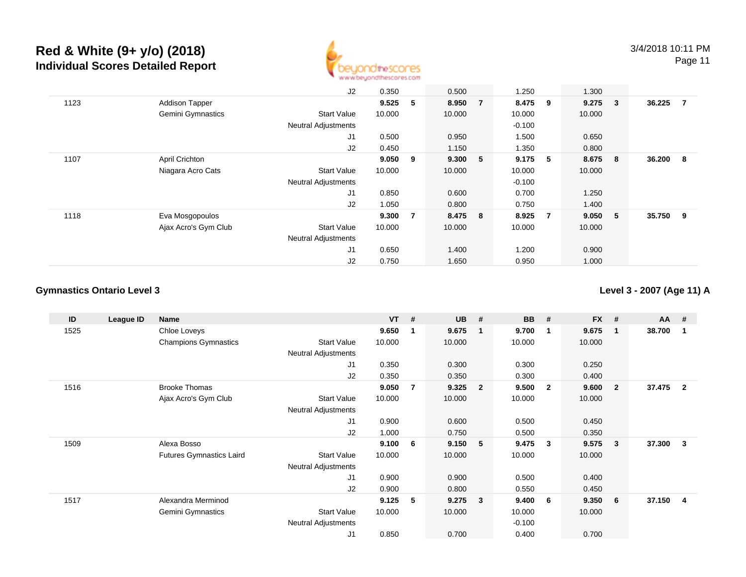

J2 0.350 0.500 1.250 1.300 1123 Addison Tapper **9.525 <sup>5</sup> 8.950 <sup>7</sup> 8.475 <sup>9</sup> 9.275 <sup>3</sup> 36.225 <sup>7</sup>** Gemini Gymnastics Start Valuee 10.000 10.000 10.000 10.000 Neutral Adjustments $\sim$  -0.100 1.500 J1 0.500 0.950 1.500 0.650 J22 0.450 1.150 1.350 0.800 1107 April Crichton **9.050 <sup>9</sup> 9.300 <sup>5</sup> 9.175 <sup>5</sup> 8.675 <sup>8</sup> 36.200 <sup>8</sup>** Niagara Acro Cats Start Valuee 10.000 10.000 10.000 10.000 Neutral Adjustments $\sim$  -0.100 0.700 J1 0.850 0.600 0.700 1.250 J2 1.050 0.800 0.750 1.400 1118 Eva Mosgopoulos **9.300 <sup>7</sup> 8.475 <sup>8</sup> 8.925 <sup>7</sup> 9.050 <sup>5</sup> 35.750 <sup>9</sup>** Ajax Acro's Gym Club Start Value 10.000 10.000 10.000 10.000 Neutral Adjustments J1 0.650 1.400 1.200 0.900 J20.750 1.650 0.950 1.000

### **Gymnastics Ontario Level 3**

**Level 3 - 2007 (Age 11) A**

| ID   | League ID | Name                            |                            | $VT$ # |                | <b>UB</b> | #              | <b>BB</b> | #            | $FX$ # |              | <b>AA</b> | #              |
|------|-----------|---------------------------------|----------------------------|--------|----------------|-----------|----------------|-----------|--------------|--------|--------------|-----------|----------------|
| 1525 |           | Chloe Loveys                    |                            | 9.650  | -1             | 9.675     | $\mathbf{1}$   | 9.700     | 1            | 9.675  | -1           | 38.700    |                |
|      |           | <b>Champions Gymnastics</b>     | <b>Start Value</b>         | 10.000 |                | 10.000    |                | 10.000    |              | 10.000 |              |           |                |
|      |           |                                 | <b>Neutral Adjustments</b> |        |                |           |                |           |              |        |              |           |                |
|      |           |                                 | J1                         | 0.350  |                | 0.300     |                | 0.300     |              | 0.250  |              |           |                |
|      |           |                                 | J2                         | 0.350  |                | 0.350     |                | 0.300     |              | 0.400  |              |           |                |
| 1516 |           | <b>Brooke Thomas</b>            |                            | 9.050  | $\overline{7}$ | 9.325     | $\overline{2}$ | 9.500     | $\mathbf{2}$ | 9.600  | $\mathbf{2}$ | 37.475    | $\overline{2}$ |
|      |           | Ajax Acro's Gym Club            | <b>Start Value</b>         | 10.000 |                | 10.000    |                | 10.000    |              | 10.000 |              |           |                |
|      |           |                                 | <b>Neutral Adjustments</b> |        |                |           |                |           |              |        |              |           |                |
|      |           |                                 | J1                         | 0.900  |                | 0.600     |                | 0.500     |              | 0.450  |              |           |                |
|      |           |                                 | J2                         | 1.000  |                | 0.750     |                | 0.500     |              | 0.350  |              |           |                |
| 1509 |           | Alexa Bosso                     |                            | 9.100  | - 6            | 9.150     | -5             | 9.475     | 3            | 9.575  | $\mathbf{3}$ | 37.300    | 3              |
|      |           | <b>Futures Gymnastics Laird</b> | <b>Start Value</b>         | 10.000 |                | 10.000    |                | 10.000    |              | 10.000 |              |           |                |
|      |           |                                 | <b>Neutral Adjustments</b> |        |                |           |                |           |              |        |              |           |                |
|      |           |                                 | J <sub>1</sub>             | 0.900  |                | 0.900     |                | 0.500     |              | 0.400  |              |           |                |
|      |           |                                 | J2                         | 0.900  |                | 0.800     |                | 0.550     |              | 0.450  |              |           |                |
| 1517 |           | Alexandra Merminod              |                            | 9.125  | -5             | 9.275     | -3             | 9.400     | 6            | 9.350  | 6            | 37.150 4  |                |
|      |           | Gemini Gymnastics               | <b>Start Value</b>         | 10.000 |                | 10.000    |                | 10.000    |              | 10.000 |              |           |                |
|      |           |                                 | <b>Neutral Adjustments</b> |        |                |           |                | $-0.100$  |              |        |              |           |                |
|      |           |                                 | J <sub>1</sub>             | 0.850  |                | 0.700     |                | 0.400     |              | 0.700  |              |           |                |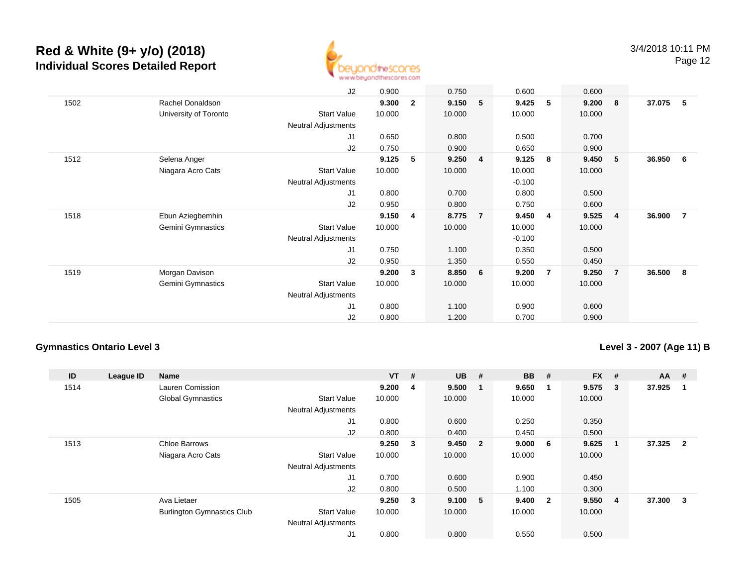

|      |                       | J2                         | 0.900  |                | 0.750  |                | 0.600    |                         | 0.600  |                |        |                |
|------|-----------------------|----------------------------|--------|----------------|--------|----------------|----------|-------------------------|--------|----------------|--------|----------------|
| 1502 | Rachel Donaldson      |                            | 9.300  | $\overline{2}$ | 9.150  | 5              | 9.425    | 5                       | 9.200  | - 8            | 37.075 | - 5            |
|      | University of Toronto | <b>Start Value</b>         | 10.000 |                | 10.000 |                | 10.000   |                         | 10.000 |                |        |                |
|      |                       | Neutral Adjustments        |        |                |        |                |          |                         |        |                |        |                |
|      |                       | J1                         | 0.650  |                | 0.800  |                | 0.500    |                         | 0.700  |                |        |                |
|      |                       | J2                         | 0.750  |                | 0.900  |                | 0.650    |                         | 0.900  |                |        |                |
| 1512 | Selena Anger          |                            | 9.125  | 5              | 9.250  | 4              | 9.125    | - 8                     | 9.450  | $-5$           | 36.950 | - 6            |
|      | Niagara Acro Cats     | <b>Start Value</b>         | 10.000 |                | 10.000 |                | 10.000   |                         | 10.000 |                |        |                |
|      |                       | <b>Neutral Adjustments</b> |        |                |        |                | $-0.100$ |                         |        |                |        |                |
|      |                       | J1                         | 0.800  |                | 0.700  |                | 0.800    |                         | 0.500  |                |        |                |
|      |                       | J2                         | 0.950  |                | 0.800  |                | 0.750    |                         | 0.600  |                |        |                |
| 1518 | Ebun Aziegbemhin      |                            | 9.150  | 4              | 8.775  | $\overline{7}$ | 9.450    | $\overline{\mathbf{4}}$ | 9.525  | $\overline{4}$ | 36.900 | $\overline{7}$ |
|      | Gemini Gymnastics     | <b>Start Value</b>         | 10.000 |                | 10.000 |                | 10.000   |                         | 10.000 |                |        |                |
|      |                       | <b>Neutral Adjustments</b> |        |                |        |                | $-0.100$ |                         |        |                |        |                |
|      |                       | J1                         | 0.750  |                | 1.100  |                | 0.350    |                         | 0.500  |                |        |                |
|      |                       | J2                         | 0.950  |                | 1.350  |                | 0.550    |                         | 0.450  |                |        |                |
| 1519 | Morgan Davison        |                            | 9.200  | 3              | 8.850  | 6              | 9.200    | $\overline{7}$          | 9.250  | $\overline{7}$ | 36.500 | - 8            |
|      | Gemini Gymnastics     | <b>Start Value</b>         | 10.000 |                | 10.000 |                | 10.000   |                         | 10.000 |                |        |                |
|      |                       | Neutral Adjustments        |        |                |        |                |          |                         |        |                |        |                |
|      |                       | J1                         | 0.800  |                | 1.100  |                | 0.900    |                         | 0.600  |                |        |                |
|      |                       | J <sub>2</sub>             | 0.800  |                | 1.200  |                | 0.700    |                         | 0.900  |                |        |                |

### **Gymnastics Ontario Level 3**

**Level 3 - 2007 (Age 11) B**

| ID   | League ID | Name                              |                            | <b>VT</b> | #                       | <b>UB</b> | #                       | <b>BB</b> | #                       | <b>FX</b> | #              | $AA$ # |                |
|------|-----------|-----------------------------------|----------------------------|-----------|-------------------------|-----------|-------------------------|-----------|-------------------------|-----------|----------------|--------|----------------|
| 1514 |           | Lauren Comission                  |                            | 9.200     | $\overline{4}$          | 9.500     | - 1                     | 9.650     | -1                      | 9.575     | 3              | 37.925 |                |
|      |           | <b>Global Gymnastics</b>          | <b>Start Value</b>         | 10.000    |                         | 10.000    |                         | 10.000    |                         | 10.000    |                |        |                |
|      |           |                                   | <b>Neutral Adjustments</b> |           |                         |           |                         |           |                         |           |                |        |                |
|      |           |                                   | J1                         | 0.800     |                         | 0.600     |                         | 0.250     |                         | 0.350     |                |        |                |
|      |           |                                   | J <sub>2</sub>             | 0.800     |                         | 0.400     |                         | 0.450     |                         | 0.500     |                |        |                |
| 1513 |           | <b>Chloe Barrows</b>              |                            | 9.250     | $\overline{\mathbf{3}}$ | 9.450     | $\overline{\mathbf{2}}$ | 9.000     | - 6                     | 9.625     | 1              | 37.325 | $\overline{2}$ |
|      |           | Niagara Acro Cats                 | <b>Start Value</b>         | 10.000    |                         | 10.000    |                         | 10.000    |                         | 10.000    |                |        |                |
|      |           |                                   | <b>Neutral Adjustments</b> |           |                         |           |                         |           |                         |           |                |        |                |
|      |           |                                   | J1                         | 0.700     |                         | 0.600     |                         | 0.900     |                         | 0.450     |                |        |                |
|      |           |                                   | J <sub>2</sub>             | 0.800     |                         | 0.500     |                         | 1.100     |                         | 0.300     |                |        |                |
| 1505 |           | Ava Lietaer                       |                            | 9.250     | $\overline{\mathbf{3}}$ | 9.100     | - 5                     | 9.400     | $\overline{\mathbf{2}}$ | 9.550     | $\overline{4}$ | 37.300 | 3              |
|      |           | <b>Burlington Gymnastics Club</b> | <b>Start Value</b>         | 10.000    |                         | 10.000    |                         | 10.000    |                         | 10.000    |                |        |                |
|      |           |                                   | <b>Neutral Adjustments</b> |           |                         |           |                         |           |                         |           |                |        |                |
|      |           |                                   | J1                         | 0.800     |                         | 0.800     |                         | 0.550     |                         | 0.500     |                |        |                |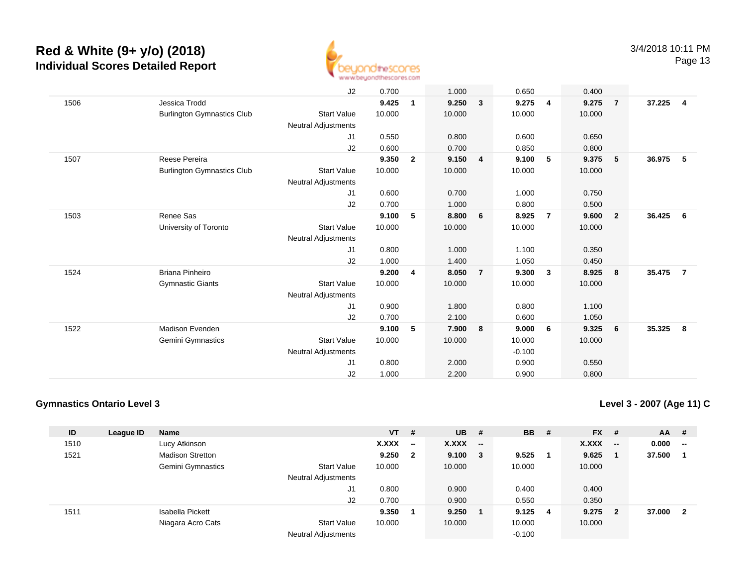

|      |                                   | J2                         | 0.700  |                | 1.000  |                | 0.650    |                | 0.400  |                         |        |                |
|------|-----------------------------------|----------------------------|--------|----------------|--------|----------------|----------|----------------|--------|-------------------------|--------|----------------|
| 1506 | Jessica Trodd                     |                            | 9.425  | 1              | 9.250  | $\mathbf{3}$   | 9.275    | 4              | 9.275  | $\overline{7}$          | 37.225 | $\overline{4}$ |
|      | <b>Burlington Gymnastics Club</b> | <b>Start Value</b>         | 10.000 |                | 10.000 |                | 10.000   |                | 10.000 |                         |        |                |
|      |                                   | <b>Neutral Adjustments</b> |        |                |        |                |          |                |        |                         |        |                |
|      |                                   | J1                         | 0.550  |                | 0.800  |                | 0.600    |                | 0.650  |                         |        |                |
|      |                                   | J2                         | 0.600  |                | 0.700  |                | 0.850    |                | 0.800  |                         |        |                |
| 1507 | Reese Pereira                     |                            | 9.350  | $\overline{2}$ | 9.150  | $\overline{4}$ | 9.100    | 5              | 9.375  | 5                       | 36.975 | - 5            |
|      | <b>Burlington Gymnastics Club</b> | <b>Start Value</b>         | 10.000 |                | 10.000 |                | 10.000   |                | 10.000 |                         |        |                |
|      |                                   | <b>Neutral Adjustments</b> |        |                |        |                |          |                |        |                         |        |                |
|      |                                   | J1                         | 0.600  |                | 0.700  |                | 1.000    |                | 0.750  |                         |        |                |
|      |                                   | J2                         | 0.700  |                | 1.000  |                | 0.800    |                | 0.500  |                         |        |                |
| 1503 | Renee Sas                         |                            | 9.100  | 5              | 8.800  | 6              | 8.925    | $\overline{7}$ | 9.600  | $\overline{\mathbf{2}}$ | 36.425 | - 6            |
|      | University of Toronto             | <b>Start Value</b>         | 10.000 |                | 10.000 |                | 10.000   |                | 10.000 |                         |        |                |
|      |                                   | <b>Neutral Adjustments</b> |        |                |        |                |          |                |        |                         |        |                |
|      |                                   | J1                         | 0.800  |                | 1.000  |                | 1.100    |                | 0.350  |                         |        |                |
|      |                                   | J2                         | 1.000  |                | 1.400  |                | 1.050    |                | 0.450  |                         |        |                |
| 1524 | <b>Briana Pinheiro</b>            |                            | 9.200  | 4              | 8.050  | $\overline{7}$ | 9.300    | 3              | 8.925  | $\bf{8}$                | 35.475 | $\overline{7}$ |
|      | <b>Gymnastic Giants</b>           | <b>Start Value</b>         | 10.000 |                | 10.000 |                | 10.000   |                | 10.000 |                         |        |                |
|      |                                   | <b>Neutral Adjustments</b> |        |                |        |                |          |                |        |                         |        |                |
|      |                                   | J1                         | 0.900  |                | 1.800  |                | 0.800    |                | 1.100  |                         |        |                |
|      |                                   | J2                         | 0.700  |                | 2.100  |                | 0.600    |                | 1.050  |                         |        |                |
| 1522 | Madison Evenden                   |                            | 9.100  | 5              | 7.900  | 8              | 9.000    | 6              | 9.325  | 6                       | 35.325 | - 8            |
|      | Gemini Gymnastics                 | <b>Start Value</b>         | 10.000 |                | 10.000 |                | 10.000   |                | 10.000 |                         |        |                |
|      |                                   | <b>Neutral Adjustments</b> |        |                |        |                | $-0.100$ |                |        |                         |        |                |
|      |                                   | J1                         | 0.800  |                | 2.000  |                | 0.900    |                | 0.550  |                         |        |                |
|      |                                   | J <sub>2</sub>             | 1.000  |                | 2.200  |                | 0.900    |                | 0.800  |                         |        |                |

## **Gymnastics Ontario Level 3**

**Level 3 - 2007 (Age 11) C**

| ID   | League ID | <b>Name</b>             |                            | $VT$ # |                          | $UB$ #       |                          | <b>BB</b> | - # | <b>FX</b> | - #                     | AA     | #                        |
|------|-----------|-------------------------|----------------------------|--------|--------------------------|--------------|--------------------------|-----------|-----|-----------|-------------------------|--------|--------------------------|
| 1510 |           | Lucy Atkinson           |                            | X.XXX  | $\overline{\phantom{a}}$ | X.XXX        | $\overline{\phantom{a}}$ |           |     | X.XXX     | $\sim$                  | 0.000  | $\overline{\phantom{a}}$ |
| 1521 |           | <b>Madison Stretton</b> |                            | 9.250  | $\mathbf{2}$             | $9.100 \t 3$ |                          | 9.525     |     | 9.625     |                         | 37.500 |                          |
|      |           | Gemini Gymnastics       | <b>Start Value</b>         | 10.000 |                          | 10.000       |                          | 10.000    |     | 10.000    |                         |        |                          |
|      |           |                         | <b>Neutral Adjustments</b> |        |                          |              |                          |           |     |           |                         |        |                          |
|      |           |                         | J1                         | 0.800  |                          | 0.900        |                          | 0.400     |     | 0.400     |                         |        |                          |
|      |           |                         | J2                         | 0.700  |                          | 0.900        |                          | 0.550     |     | 0.350     |                         |        |                          |
| 1511 |           | Isabella Pickett        |                            | 9.350  |                          | 9.250        |                          | 9.125     | -4  | 9.275     | $\overline{\mathbf{2}}$ | 37.000 | $\overline{\mathbf{2}}$  |
|      |           | Niagara Acro Cats       | <b>Start Value</b>         | 10.000 |                          | 10.000       |                          | 10.000    |     | 10.000    |                         |        |                          |
|      |           |                         | <b>Neutral Adjustments</b> |        |                          |              |                          | $-0.100$  |     |           |                         |        |                          |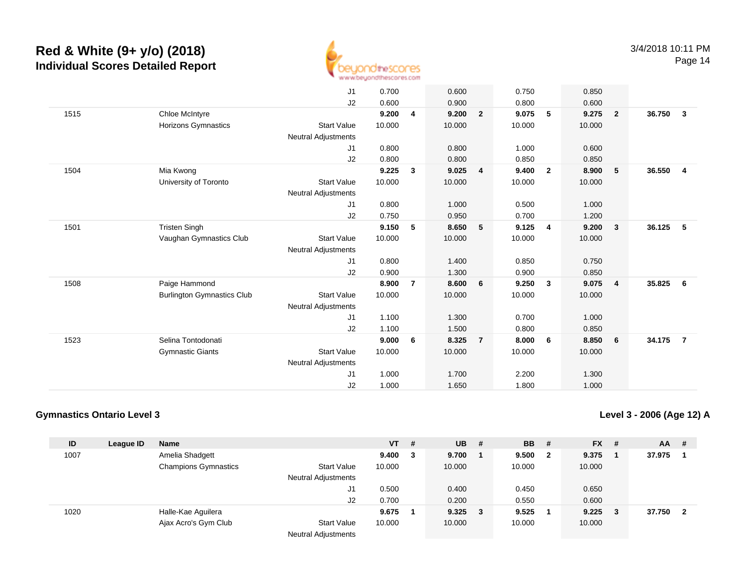

|      |                                   | J <sub>1</sub><br>J2       | 0.700<br>0.600 |                | 0.600<br>0.900 |                | 0.750<br>0.800 |                         | 0.850<br>0.600 |                         |        |                         |
|------|-----------------------------------|----------------------------|----------------|----------------|----------------|----------------|----------------|-------------------------|----------------|-------------------------|--------|-------------------------|
| 1515 | Chloe McIntyre                    |                            | 9.200          | 4              | 9.200          | $\overline{2}$ | 9.075          | 5                       | 9.275          | $\overline{\mathbf{2}}$ | 36.750 | $\overline{\mathbf{3}}$ |
|      | <b>Horizons Gymnastics</b>        | <b>Start Value</b>         | 10.000         |                | 10.000         |                | 10.000         |                         | 10.000         |                         |        |                         |
|      |                                   | <b>Neutral Adjustments</b> |                |                |                |                |                |                         |                |                         |        |                         |
|      |                                   | J1                         | 0.800          |                | 0.800          |                | 1.000          |                         | 0.600          |                         |        |                         |
|      |                                   | J2                         | 0.800          |                | 0.800          |                | 0.850          |                         | 0.850          |                         |        |                         |
| 1504 | Mia Kwong                         |                            | 9.225          | $\mathbf{3}$   | 9.025          | $\overline{4}$ | 9.400          | $\overline{2}$          | 8.900          | 5                       | 36.550 | $\overline{4}$          |
|      | University of Toronto             | <b>Start Value</b>         | 10.000         |                | 10.000         |                | 10.000         |                         | 10.000         |                         |        |                         |
|      |                                   | Neutral Adjustments        |                |                |                |                |                |                         |                |                         |        |                         |
|      |                                   | J1                         | 0.800          |                | 1.000          |                | 0.500          |                         | 1.000          |                         |        |                         |
|      |                                   | J2                         | 0.750          |                | 0.950          |                | 0.700          |                         | 1.200          |                         |        |                         |
| 1501 | <b>Tristen Singh</b>              |                            | 9.150          | 5              | 8.650          | 5              | 9.125          | $\overline{\mathbf{4}}$ | 9.200          | $\overline{\mathbf{3}}$ | 36.125 | - 5                     |
|      | Vaughan Gymnastics Club           | <b>Start Value</b>         | 10.000         |                | 10.000         |                | 10.000         |                         | 10.000         |                         |        |                         |
|      |                                   | <b>Neutral Adjustments</b> |                |                |                |                |                |                         |                |                         |        |                         |
|      |                                   | J1                         | 0.800          |                | 1.400          |                | 0.850          |                         | 0.750          |                         |        |                         |
|      |                                   | J2                         | 0.900          |                | 1.300          |                | 0.900          |                         | 0.850          |                         |        |                         |
| 1508 | Paige Hammond                     |                            | 8.900          | $\overline{7}$ | 8.600          | 6              | 9.250          | 3                       | 9.075          | $\overline{4}$          | 35.825 | - 6                     |
|      | <b>Burlington Gymnastics Club</b> | <b>Start Value</b>         | 10.000         |                | 10.000         |                | 10.000         |                         | 10.000         |                         |        |                         |
|      |                                   | <b>Neutral Adjustments</b> |                |                |                |                |                |                         |                |                         |        |                         |
|      |                                   | J1                         | 1.100          |                | 1.300          |                | 0.700          |                         | 1.000          |                         |        |                         |
|      |                                   | J2                         | 1.100          |                | 1.500          |                | 0.800          |                         | 0.850          |                         |        |                         |
| 1523 | Selina Tontodonati                |                            | 9.000          | 6              | 8.325          | $\overline{7}$ | 8.000          | 6                       | 8.850          | 6                       | 34.175 | $\overline{7}$          |
|      | <b>Gymnastic Giants</b>           | <b>Start Value</b>         | 10.000         |                | 10.000         |                | 10.000         |                         | 10.000         |                         |        |                         |
|      |                                   | <b>Neutral Adjustments</b> |                |                |                |                |                |                         |                |                         |        |                         |
|      |                                   | J1                         | 1.000          |                | 1.700          |                | 2.200          |                         | 1.300          |                         |        |                         |
|      |                                   | J2                         | 1.000          |                | 1.650          |                | 1.800          |                         | 1.000          |                         |        |                         |

### **Gymnastics Ontario Level 3**

**Level 3 - 2006 (Age 12) A**

| ID   | League ID | <b>Name</b>                 |                            | <b>VT</b> | # | <b>UB</b>       | -# | <b>BB</b> | - # | $FX$ # |     | <b>AA</b> | -#                      |
|------|-----------|-----------------------------|----------------------------|-----------|---|-----------------|----|-----------|-----|--------|-----|-----------|-------------------------|
| 1007 |           | Amelia Shadgett             |                            | 9.400     | 3 | 9.700           |    | 9.500     | 2   | 9.375  |     | 37.975    |                         |
|      |           | <b>Champions Gymnastics</b> | <b>Start Value</b>         | 10.000    |   | 10.000          |    | 10.000    |     | 10.000 |     |           |                         |
|      |           |                             | <b>Neutral Adjustments</b> |           |   |                 |    |           |     |        |     |           |                         |
|      |           |                             | J1                         | 0.500     |   | 0.400           |    | 0.450     |     | 0.650  |     |           |                         |
|      |           |                             | J2                         | 0.700     |   | 0.200           |    | 0.550     |     | 0.600  |     |           |                         |
| 1020 |           | Halle-Kae Aguilera          |                            | 9.675     |   | $9.325 \quad 3$ |    | 9.525     |     | 9.225  | - 3 | 37.750    | $\overline{\mathbf{2}}$ |
|      |           | Ajax Acro's Gym Club        | <b>Start Value</b>         | 10.000    |   | 10.000          |    | 10.000    |     | 10.000 |     |           |                         |
|      |           |                             | Nautral Adjustmants        |           |   |                 |    |           |     |        |     |           |                         |

Neutral Adjustments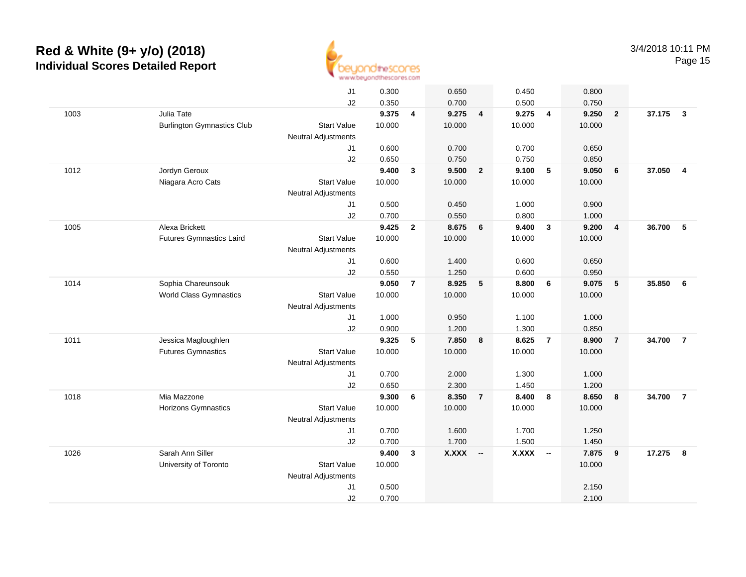

| J <sub>1</sub><br>0.300<br>0.450<br>0.800<br>0.650<br>0.700<br>0.500<br>J <sub>2</sub><br>0.350<br>0.750<br>Julia Tate<br>9.375<br>9.275<br>37.175<br>1003<br>4<br>9.275<br>$\overline{4}$<br>$\overline{4}$<br>9.250<br>$\overline{2}$<br>$\overline{\mathbf{3}}$<br><b>Start Value</b><br>10.000<br>10.000<br>10.000<br><b>Burlington Gymnastics Club</b><br>10.000<br><b>Neutral Adjustments</b><br>J1<br>0.600<br>0.700<br>0.700<br>0.650<br>0.650<br>0.750<br>0.750<br>J2<br>0.850<br>9.400<br>$\sqrt{5}$<br>37.050<br>Jordyn Geroux<br>9.500<br>$\overline{2}$<br>9.100<br>9.050<br>6<br>$\overline{4}$<br>1012<br>$\mathbf{3}$<br>Niagara Acro Cats<br>10.000<br><b>Start Value</b><br>10.000<br>10.000<br>10.000<br><b>Neutral Adjustments</b><br>0.500<br>0.450<br>1.000<br>0.900<br>J1<br>0.700<br>0.550<br>0.800<br>J2<br>1.000<br>9.425<br>8.675<br>9.400<br>36.700<br>5<br>1005<br>Alexa Brickett<br>$\overline{2}$<br>6<br>$\overline{\mathbf{3}}$<br>9.200<br>$\overline{4}$<br><b>Futures Gymnastics Laird</b><br><b>Start Value</b><br>10.000<br>10.000<br>10.000<br>10.000<br>Neutral Adjustments<br>0.600<br>J1<br>1.400<br>0.600<br>0.650<br>0.550<br>J2<br>1.250<br>0.600<br>0.950<br>9.050<br>35.850<br>1014<br>Sophia Chareunsouk<br>$\overline{7}$<br>8.925<br>5<br>8.800<br>6<br>9.075<br>5<br>6<br><b>World Class Gymnastics</b><br><b>Start Value</b><br>10.000<br>10.000<br>10.000<br>10.000<br>Neutral Adjustments<br>J1<br>1.000<br>0.950<br>1.100<br>1.000<br>0.850<br>J2<br>0.900<br>1.200<br>1.300<br>9.325<br>7.850<br>8.625<br>$\overline{7}$<br>8.900<br>34.700<br>$\overline{7}$<br>1011<br>Jessica Magloughlen<br>5<br>8<br>$\overline{7}$<br><b>Futures Gymnastics</b><br><b>Start Value</b><br>10.000<br>10.000<br>10.000<br>10.000<br><b>Neutral Adjustments</b><br>0.700<br>2.000<br>1.300<br>1.000<br>J1<br>J2<br>0.650<br>2.300<br>1.450<br>1.200<br>9.300<br>8.400<br>1018<br>Mia Mazzone<br>6<br>8.350<br>$\overline{7}$<br>8<br>8.650<br>8<br>34.700<br>$\overline{7}$<br>Horizons Gymnastics<br><b>Start Value</b><br>10.000<br>10.000<br>10.000<br>10.000<br>Neutral Adjustments<br>0.700<br>1.600<br>1.700<br>1.250<br>J <sub>1</sub><br>J2<br>0.700<br>1.700<br>1.500<br>1.450<br>Sarah Ann Siller<br>1026<br>9.400<br><b>X.XXX</b><br><b>X.XXX</b><br>7.875<br>9<br>17.275<br>3<br>8<br>$\sim$<br>$\sim$<br>10.000<br>University of Toronto<br><b>Start Value</b><br>10.000<br>Neutral Adjustments<br>J <sub>1</sub><br>0.500<br>2.150<br>0.700<br>J2<br>2.100 |  |  |  |  |  |  |  |
|--------------------------------------------------------------------------------------------------------------------------------------------------------------------------------------------------------------------------------------------------------------------------------------------------------------------------------------------------------------------------------------------------------------------------------------------------------------------------------------------------------------------------------------------------------------------------------------------------------------------------------------------------------------------------------------------------------------------------------------------------------------------------------------------------------------------------------------------------------------------------------------------------------------------------------------------------------------------------------------------------------------------------------------------------------------------------------------------------------------------------------------------------------------------------------------------------------------------------------------------------------------------------------------------------------------------------------------------------------------------------------------------------------------------------------------------------------------------------------------------------------------------------------------------------------------------------------------------------------------------------------------------------------------------------------------------------------------------------------------------------------------------------------------------------------------------------------------------------------------------------------------------------------------------------------------------------------------------------------------------------------------------------------------------------------------------------------------------------------------------------------------------------------------------------------------------------------------------------------------------------------------------------------------------------------------------------------------------------------------------------------------------------------------------------------------------------------------------------------------------------------------------|--|--|--|--|--|--|--|
|                                                                                                                                                                                                                                                                                                                                                                                                                                                                                                                                                                                                                                                                                                                                                                                                                                                                                                                                                                                                                                                                                                                                                                                                                                                                                                                                                                                                                                                                                                                                                                                                                                                                                                                                                                                                                                                                                                                                                                                                                                                                                                                                                                                                                                                                                                                                                                                                                                                                                                                    |  |  |  |  |  |  |  |
|                                                                                                                                                                                                                                                                                                                                                                                                                                                                                                                                                                                                                                                                                                                                                                                                                                                                                                                                                                                                                                                                                                                                                                                                                                                                                                                                                                                                                                                                                                                                                                                                                                                                                                                                                                                                                                                                                                                                                                                                                                                                                                                                                                                                                                                                                                                                                                                                                                                                                                                    |  |  |  |  |  |  |  |
|                                                                                                                                                                                                                                                                                                                                                                                                                                                                                                                                                                                                                                                                                                                                                                                                                                                                                                                                                                                                                                                                                                                                                                                                                                                                                                                                                                                                                                                                                                                                                                                                                                                                                                                                                                                                                                                                                                                                                                                                                                                                                                                                                                                                                                                                                                                                                                                                                                                                                                                    |  |  |  |  |  |  |  |
|                                                                                                                                                                                                                                                                                                                                                                                                                                                                                                                                                                                                                                                                                                                                                                                                                                                                                                                                                                                                                                                                                                                                                                                                                                                                                                                                                                                                                                                                                                                                                                                                                                                                                                                                                                                                                                                                                                                                                                                                                                                                                                                                                                                                                                                                                                                                                                                                                                                                                                                    |  |  |  |  |  |  |  |
|                                                                                                                                                                                                                                                                                                                                                                                                                                                                                                                                                                                                                                                                                                                                                                                                                                                                                                                                                                                                                                                                                                                                                                                                                                                                                                                                                                                                                                                                                                                                                                                                                                                                                                                                                                                                                                                                                                                                                                                                                                                                                                                                                                                                                                                                                                                                                                                                                                                                                                                    |  |  |  |  |  |  |  |
|                                                                                                                                                                                                                                                                                                                                                                                                                                                                                                                                                                                                                                                                                                                                                                                                                                                                                                                                                                                                                                                                                                                                                                                                                                                                                                                                                                                                                                                                                                                                                                                                                                                                                                                                                                                                                                                                                                                                                                                                                                                                                                                                                                                                                                                                                                                                                                                                                                                                                                                    |  |  |  |  |  |  |  |
|                                                                                                                                                                                                                                                                                                                                                                                                                                                                                                                                                                                                                                                                                                                                                                                                                                                                                                                                                                                                                                                                                                                                                                                                                                                                                                                                                                                                                                                                                                                                                                                                                                                                                                                                                                                                                                                                                                                                                                                                                                                                                                                                                                                                                                                                                                                                                                                                                                                                                                                    |  |  |  |  |  |  |  |
|                                                                                                                                                                                                                                                                                                                                                                                                                                                                                                                                                                                                                                                                                                                                                                                                                                                                                                                                                                                                                                                                                                                                                                                                                                                                                                                                                                                                                                                                                                                                                                                                                                                                                                                                                                                                                                                                                                                                                                                                                                                                                                                                                                                                                                                                                                                                                                                                                                                                                                                    |  |  |  |  |  |  |  |
|                                                                                                                                                                                                                                                                                                                                                                                                                                                                                                                                                                                                                                                                                                                                                                                                                                                                                                                                                                                                                                                                                                                                                                                                                                                                                                                                                                                                                                                                                                                                                                                                                                                                                                                                                                                                                                                                                                                                                                                                                                                                                                                                                                                                                                                                                                                                                                                                                                                                                                                    |  |  |  |  |  |  |  |
|                                                                                                                                                                                                                                                                                                                                                                                                                                                                                                                                                                                                                                                                                                                                                                                                                                                                                                                                                                                                                                                                                                                                                                                                                                                                                                                                                                                                                                                                                                                                                                                                                                                                                                                                                                                                                                                                                                                                                                                                                                                                                                                                                                                                                                                                                                                                                                                                                                                                                                                    |  |  |  |  |  |  |  |
|                                                                                                                                                                                                                                                                                                                                                                                                                                                                                                                                                                                                                                                                                                                                                                                                                                                                                                                                                                                                                                                                                                                                                                                                                                                                                                                                                                                                                                                                                                                                                                                                                                                                                                                                                                                                                                                                                                                                                                                                                                                                                                                                                                                                                                                                                                                                                                                                                                                                                                                    |  |  |  |  |  |  |  |
|                                                                                                                                                                                                                                                                                                                                                                                                                                                                                                                                                                                                                                                                                                                                                                                                                                                                                                                                                                                                                                                                                                                                                                                                                                                                                                                                                                                                                                                                                                                                                                                                                                                                                                                                                                                                                                                                                                                                                                                                                                                                                                                                                                                                                                                                                                                                                                                                                                                                                                                    |  |  |  |  |  |  |  |
|                                                                                                                                                                                                                                                                                                                                                                                                                                                                                                                                                                                                                                                                                                                                                                                                                                                                                                                                                                                                                                                                                                                                                                                                                                                                                                                                                                                                                                                                                                                                                                                                                                                                                                                                                                                                                                                                                                                                                                                                                                                                                                                                                                                                                                                                                                                                                                                                                                                                                                                    |  |  |  |  |  |  |  |
|                                                                                                                                                                                                                                                                                                                                                                                                                                                                                                                                                                                                                                                                                                                                                                                                                                                                                                                                                                                                                                                                                                                                                                                                                                                                                                                                                                                                                                                                                                                                                                                                                                                                                                                                                                                                                                                                                                                                                                                                                                                                                                                                                                                                                                                                                                                                                                                                                                                                                                                    |  |  |  |  |  |  |  |
|                                                                                                                                                                                                                                                                                                                                                                                                                                                                                                                                                                                                                                                                                                                                                                                                                                                                                                                                                                                                                                                                                                                                                                                                                                                                                                                                                                                                                                                                                                                                                                                                                                                                                                                                                                                                                                                                                                                                                                                                                                                                                                                                                                                                                                                                                                                                                                                                                                                                                                                    |  |  |  |  |  |  |  |
|                                                                                                                                                                                                                                                                                                                                                                                                                                                                                                                                                                                                                                                                                                                                                                                                                                                                                                                                                                                                                                                                                                                                                                                                                                                                                                                                                                                                                                                                                                                                                                                                                                                                                                                                                                                                                                                                                                                                                                                                                                                                                                                                                                                                                                                                                                                                                                                                                                                                                                                    |  |  |  |  |  |  |  |
|                                                                                                                                                                                                                                                                                                                                                                                                                                                                                                                                                                                                                                                                                                                                                                                                                                                                                                                                                                                                                                                                                                                                                                                                                                                                                                                                                                                                                                                                                                                                                                                                                                                                                                                                                                                                                                                                                                                                                                                                                                                                                                                                                                                                                                                                                                                                                                                                                                                                                                                    |  |  |  |  |  |  |  |
|                                                                                                                                                                                                                                                                                                                                                                                                                                                                                                                                                                                                                                                                                                                                                                                                                                                                                                                                                                                                                                                                                                                                                                                                                                                                                                                                                                                                                                                                                                                                                                                                                                                                                                                                                                                                                                                                                                                                                                                                                                                                                                                                                                                                                                                                                                                                                                                                                                                                                                                    |  |  |  |  |  |  |  |
|                                                                                                                                                                                                                                                                                                                                                                                                                                                                                                                                                                                                                                                                                                                                                                                                                                                                                                                                                                                                                                                                                                                                                                                                                                                                                                                                                                                                                                                                                                                                                                                                                                                                                                                                                                                                                                                                                                                                                                                                                                                                                                                                                                                                                                                                                                                                                                                                                                                                                                                    |  |  |  |  |  |  |  |
|                                                                                                                                                                                                                                                                                                                                                                                                                                                                                                                                                                                                                                                                                                                                                                                                                                                                                                                                                                                                                                                                                                                                                                                                                                                                                                                                                                                                                                                                                                                                                                                                                                                                                                                                                                                                                                                                                                                                                                                                                                                                                                                                                                                                                                                                                                                                                                                                                                                                                                                    |  |  |  |  |  |  |  |
|                                                                                                                                                                                                                                                                                                                                                                                                                                                                                                                                                                                                                                                                                                                                                                                                                                                                                                                                                                                                                                                                                                                                                                                                                                                                                                                                                                                                                                                                                                                                                                                                                                                                                                                                                                                                                                                                                                                                                                                                                                                                                                                                                                                                                                                                                                                                                                                                                                                                                                                    |  |  |  |  |  |  |  |
|                                                                                                                                                                                                                                                                                                                                                                                                                                                                                                                                                                                                                                                                                                                                                                                                                                                                                                                                                                                                                                                                                                                                                                                                                                                                                                                                                                                                                                                                                                                                                                                                                                                                                                                                                                                                                                                                                                                                                                                                                                                                                                                                                                                                                                                                                                                                                                                                                                                                                                                    |  |  |  |  |  |  |  |
|                                                                                                                                                                                                                                                                                                                                                                                                                                                                                                                                                                                                                                                                                                                                                                                                                                                                                                                                                                                                                                                                                                                                                                                                                                                                                                                                                                                                                                                                                                                                                                                                                                                                                                                                                                                                                                                                                                                                                                                                                                                                                                                                                                                                                                                                                                                                                                                                                                                                                                                    |  |  |  |  |  |  |  |
|                                                                                                                                                                                                                                                                                                                                                                                                                                                                                                                                                                                                                                                                                                                                                                                                                                                                                                                                                                                                                                                                                                                                                                                                                                                                                                                                                                                                                                                                                                                                                                                                                                                                                                                                                                                                                                                                                                                                                                                                                                                                                                                                                                                                                                                                                                                                                                                                                                                                                                                    |  |  |  |  |  |  |  |
|                                                                                                                                                                                                                                                                                                                                                                                                                                                                                                                                                                                                                                                                                                                                                                                                                                                                                                                                                                                                                                                                                                                                                                                                                                                                                                                                                                                                                                                                                                                                                                                                                                                                                                                                                                                                                                                                                                                                                                                                                                                                                                                                                                                                                                                                                                                                                                                                                                                                                                                    |  |  |  |  |  |  |  |
|                                                                                                                                                                                                                                                                                                                                                                                                                                                                                                                                                                                                                                                                                                                                                                                                                                                                                                                                                                                                                                                                                                                                                                                                                                                                                                                                                                                                                                                                                                                                                                                                                                                                                                                                                                                                                                                                                                                                                                                                                                                                                                                                                                                                                                                                                                                                                                                                                                                                                                                    |  |  |  |  |  |  |  |
|                                                                                                                                                                                                                                                                                                                                                                                                                                                                                                                                                                                                                                                                                                                                                                                                                                                                                                                                                                                                                                                                                                                                                                                                                                                                                                                                                                                                                                                                                                                                                                                                                                                                                                                                                                                                                                                                                                                                                                                                                                                                                                                                                                                                                                                                                                                                                                                                                                                                                                                    |  |  |  |  |  |  |  |
|                                                                                                                                                                                                                                                                                                                                                                                                                                                                                                                                                                                                                                                                                                                                                                                                                                                                                                                                                                                                                                                                                                                                                                                                                                                                                                                                                                                                                                                                                                                                                                                                                                                                                                                                                                                                                                                                                                                                                                                                                                                                                                                                                                                                                                                                                                                                                                                                                                                                                                                    |  |  |  |  |  |  |  |
|                                                                                                                                                                                                                                                                                                                                                                                                                                                                                                                                                                                                                                                                                                                                                                                                                                                                                                                                                                                                                                                                                                                                                                                                                                                                                                                                                                                                                                                                                                                                                                                                                                                                                                                                                                                                                                                                                                                                                                                                                                                                                                                                                                                                                                                                                                                                                                                                                                                                                                                    |  |  |  |  |  |  |  |
|                                                                                                                                                                                                                                                                                                                                                                                                                                                                                                                                                                                                                                                                                                                                                                                                                                                                                                                                                                                                                                                                                                                                                                                                                                                                                                                                                                                                                                                                                                                                                                                                                                                                                                                                                                                                                                                                                                                                                                                                                                                                                                                                                                                                                                                                                                                                                                                                                                                                                                                    |  |  |  |  |  |  |  |
|                                                                                                                                                                                                                                                                                                                                                                                                                                                                                                                                                                                                                                                                                                                                                                                                                                                                                                                                                                                                                                                                                                                                                                                                                                                                                                                                                                                                                                                                                                                                                                                                                                                                                                                                                                                                                                                                                                                                                                                                                                                                                                                                                                                                                                                                                                                                                                                                                                                                                                                    |  |  |  |  |  |  |  |
|                                                                                                                                                                                                                                                                                                                                                                                                                                                                                                                                                                                                                                                                                                                                                                                                                                                                                                                                                                                                                                                                                                                                                                                                                                                                                                                                                                                                                                                                                                                                                                                                                                                                                                                                                                                                                                                                                                                                                                                                                                                                                                                                                                                                                                                                                                                                                                                                                                                                                                                    |  |  |  |  |  |  |  |
|                                                                                                                                                                                                                                                                                                                                                                                                                                                                                                                                                                                                                                                                                                                                                                                                                                                                                                                                                                                                                                                                                                                                                                                                                                                                                                                                                                                                                                                                                                                                                                                                                                                                                                                                                                                                                                                                                                                                                                                                                                                                                                                                                                                                                                                                                                                                                                                                                                                                                                                    |  |  |  |  |  |  |  |
|                                                                                                                                                                                                                                                                                                                                                                                                                                                                                                                                                                                                                                                                                                                                                                                                                                                                                                                                                                                                                                                                                                                                                                                                                                                                                                                                                                                                                                                                                                                                                                                                                                                                                                                                                                                                                                                                                                                                                                                                                                                                                                                                                                                                                                                                                                                                                                                                                                                                                                                    |  |  |  |  |  |  |  |
|                                                                                                                                                                                                                                                                                                                                                                                                                                                                                                                                                                                                                                                                                                                                                                                                                                                                                                                                                                                                                                                                                                                                                                                                                                                                                                                                                                                                                                                                                                                                                                                                                                                                                                                                                                                                                                                                                                                                                                                                                                                                                                                                                                                                                                                                                                                                                                                                                                                                                                                    |  |  |  |  |  |  |  |
|                                                                                                                                                                                                                                                                                                                                                                                                                                                                                                                                                                                                                                                                                                                                                                                                                                                                                                                                                                                                                                                                                                                                                                                                                                                                                                                                                                                                                                                                                                                                                                                                                                                                                                                                                                                                                                                                                                                                                                                                                                                                                                                                                                                                                                                                                                                                                                                                                                                                                                                    |  |  |  |  |  |  |  |
|                                                                                                                                                                                                                                                                                                                                                                                                                                                                                                                                                                                                                                                                                                                                                                                                                                                                                                                                                                                                                                                                                                                                                                                                                                                                                                                                                                                                                                                                                                                                                                                                                                                                                                                                                                                                                                                                                                                                                                                                                                                                                                                                                                                                                                                                                                                                                                                                                                                                                                                    |  |  |  |  |  |  |  |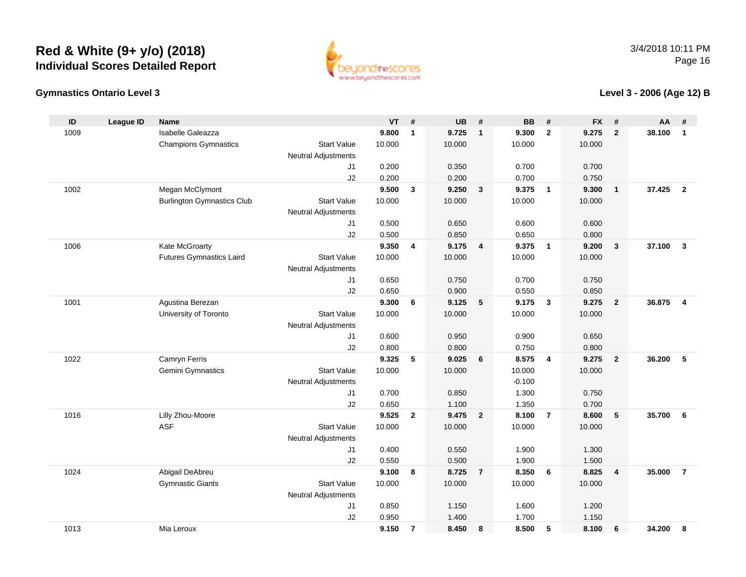

### **Gymnastics Ontario Level 3**

**Level 3 - 2006 (Age 12) B**

| $\mathsf{ID}$ | <b>League ID</b> | Name                              |                            | VT             | #              | <b>UB</b>      | #                       | <b>BB</b>      | #                       | <b>FX</b>      | #                       | AA     | #                       |
|---------------|------------------|-----------------------------------|----------------------------|----------------|----------------|----------------|-------------------------|----------------|-------------------------|----------------|-------------------------|--------|-------------------------|
| 1009          |                  | Isabelle Galeazza                 |                            | 9.800          | $\mathbf{1}$   | 9.725          | $\overline{\mathbf{1}}$ | 9.300          | $\overline{2}$          | 9.275          | $\overline{2}$          | 38.100 | $\mathbf{1}$            |
|               |                  | <b>Champions Gymnastics</b>       | <b>Start Value</b>         | 10.000         |                | 10.000         |                         | 10.000         |                         | 10.000         |                         |        |                         |
|               |                  |                                   | <b>Neutral Adjustments</b> |                |                |                |                         |                |                         |                |                         |        |                         |
|               |                  |                                   | J1                         | 0.200          |                | 0.350          |                         | 0.700          |                         | 0.700          |                         |        |                         |
|               |                  |                                   | J2                         | 0.200          |                | 0.200          |                         | 0.700          |                         | 0.750          |                         |        |                         |
| 1002          |                  | Megan McClymont                   |                            | 9.500          | $\mathbf{3}$   | 9.250          | $\mathbf{3}$            | 9.375          | $\overline{1}$          | 9.300          | $\overline{1}$          | 37.425 | $\overline{2}$          |
|               |                  | <b>Burlington Gymnastics Club</b> | <b>Start Value</b>         | 10.000         |                | 10.000         |                         | 10.000         |                         | 10.000         |                         |        |                         |
|               |                  |                                   | <b>Neutral Adjustments</b> |                |                |                |                         |                |                         |                |                         |        |                         |
|               |                  |                                   | J1                         | 0.500          |                | 0.650          |                         | 0.600          |                         | 0.600          |                         |        |                         |
|               |                  |                                   | J2                         | 0.500          |                | 0.850          |                         | 0.650          |                         | 0.800          |                         |        |                         |
| 1006          |                  | Kate McGroarty                    |                            | 9.350          | $\overline{4}$ | 9.175          | $\overline{4}$          | 9.375          | $\overline{1}$          | 9.200          | $\overline{\mathbf{3}}$ | 37.100 | $\mathbf{3}$            |
|               |                  | <b>Futures Gymnastics Laird</b>   | <b>Start Value</b>         | 10.000         |                | 10.000         |                         | 10.000         |                         | 10.000         |                         |        |                         |
|               |                  |                                   | <b>Neutral Adjustments</b> |                |                |                |                         |                |                         |                |                         |        |                         |
|               |                  |                                   | J1                         | 0.650          |                | 0.750          |                         | 0.700          |                         | 0.750          |                         |        |                         |
|               |                  |                                   | J2                         | 0.650          |                | 0.900          |                         | 0.550          |                         | 0.850          |                         |        |                         |
| 1001          |                  | Agustina Berezan                  |                            | 9.300          | 6              | 9.125          | 5                       | 9.175          | $\overline{\mathbf{3}}$ | 9.275          | $\overline{2}$          | 36,875 | $\overline{\mathbf{4}}$ |
|               |                  | University of Toronto             | <b>Start Value</b>         | 10.000         |                | 10.000         |                         | 10.000         |                         | 10.000         |                         |        |                         |
|               |                  |                                   | <b>Neutral Adjustments</b> |                |                |                |                         |                |                         |                |                         |        |                         |
|               |                  |                                   | J1                         | 0.600          |                | 0.950          |                         | 0.900          |                         | 0.650          |                         |        |                         |
|               |                  |                                   | J2                         | 0.800          |                | 0.800          |                         | 0.750          |                         | 0.800          |                         |        |                         |
| 1022          |                  | Camryn Ferris                     |                            | 9.325          | 5              | 9.025          | 6                       | 8.575          | $\overline{\mathbf{4}}$ | 9.275          | $\overline{2}$          | 36.200 | 5                       |
|               |                  | Gemini Gymnastics                 | <b>Start Value</b>         | 10.000         |                | 10.000         |                         | 10.000         |                         | 10.000         |                         |        |                         |
|               |                  |                                   | <b>Neutral Adjustments</b> |                |                |                |                         | $-0.100$       |                         |                |                         |        |                         |
|               |                  |                                   | J1                         | 0.700          |                | 0.850          |                         | 1.300          |                         | 0.750          |                         |        |                         |
| 1016          |                  | Lilly Zhou-Moore                  | J2                         | 0.650<br>9.525 | $\mathbf{2}$   | 1.100<br>9.475 | $\overline{\mathbf{2}}$ | 1.350<br>8.100 | $\overline{7}$          | 0.700<br>8.600 | 5                       | 35.700 | 6                       |
|               |                  | <b>ASF</b>                        | <b>Start Value</b>         | 10.000         |                | 10.000         |                         | 10.000         |                         | 10.000         |                         |        |                         |
|               |                  |                                   | <b>Neutral Adjustments</b> |                |                |                |                         |                |                         |                |                         |        |                         |
|               |                  |                                   | J <sub>1</sub>             | 0.400          |                | 0.550          |                         | 1.900          |                         | 1.300          |                         |        |                         |
|               |                  |                                   | J2                         | 0.550          |                | 0.500          |                         | 1.900          |                         | 1.500          |                         |        |                         |
| 1024          |                  | Abigail DeAbreu                   |                            | 9.100          | 8              | 8.725          | $\overline{7}$          | 8.350          | 6                       | 8.825          | $\overline{4}$          | 35.000 | $\overline{7}$          |
|               |                  | <b>Gymnastic Giants</b>           | <b>Start Value</b>         | 10.000         |                | 10.000         |                         | 10.000         |                         | 10.000         |                         |        |                         |
|               |                  |                                   | <b>Neutral Adjustments</b> |                |                |                |                         |                |                         |                |                         |        |                         |
|               |                  |                                   | J <sub>1</sub>             | 0.850          |                | 1.150          |                         | 1.600          |                         | 1.200          |                         |        |                         |
|               |                  |                                   | J2                         | 0.950          |                | 1.400          |                         | 1.700          |                         | 1.150          |                         |        |                         |
| 1013          |                  | Mia Leroux                        |                            | 9.150          | $\overline{7}$ | 8.450          | 8                       | 8.500          | 5                       | 8.100          | 6                       | 34.200 | 8                       |
|               |                  |                                   |                            |                |                |                |                         |                |                         |                |                         |        |                         |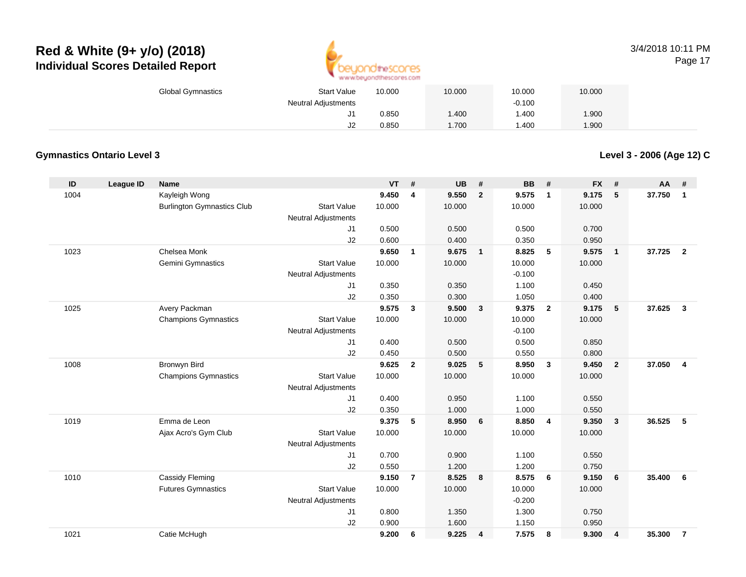

### 3/4/2018 10:11 PMPage 17

| <b>Global Gymnastics</b> | <b>Start Value</b>  | 10.000 | 10.000 | 10.000   | 10.000 |  |
|--------------------------|---------------------|--------|--------|----------|--------|--|
|                          | Neutral Adjustments |        |        | $-0.100$ |        |  |
|                          | J1                  | 0.850  | .400   | .400     | .900   |  |
|                          | J2                  | 0.850  | .700   | .400     | .900   |  |

### **Gymnastics Ontario Level 3**

**Level 3 - 2006 (Age 12) C**

| ID   | League ID | <b>Name</b>                       |                            | <b>VT</b> | #              | <b>UB</b> | #                       | <b>BB</b> | #                       | <b>FX</b> | #                       | <b>AA</b> | #                       |
|------|-----------|-----------------------------------|----------------------------|-----------|----------------|-----------|-------------------------|-----------|-------------------------|-----------|-------------------------|-----------|-------------------------|
| 1004 |           | Kayleigh Wong                     |                            | 9.450     | 4              | 9.550     | $\overline{2}$          | 9.575     | $\overline{1}$          | 9.175     | 5                       | 37.750    | $\mathbf{1}$            |
|      |           | <b>Burlington Gymnastics Club</b> | <b>Start Value</b>         | 10.000    |                | 10.000    |                         | 10.000    |                         | 10.000    |                         |           |                         |
|      |           |                                   | <b>Neutral Adjustments</b> |           |                |           |                         |           |                         |           |                         |           |                         |
|      |           |                                   | J1                         | 0.500     |                | 0.500     |                         | 0.500     |                         | 0.700     |                         |           |                         |
|      |           |                                   | J2                         | 0.600     |                | 0.400     |                         | 0.350     |                         | 0.950     |                         |           |                         |
| 1023 |           | Chelsea Monk                      |                            | 9.650     | $\mathbf{1}$   | 9.675     | $\overline{1}$          | 8.825     | 5                       | 9.575     | $\overline{1}$          | 37.725    | $\overline{2}$          |
|      |           | Gemini Gymnastics                 | <b>Start Value</b>         | 10.000    |                | 10.000    |                         | 10.000    |                         | 10.000    |                         |           |                         |
|      |           |                                   | <b>Neutral Adjustments</b> |           |                |           |                         | $-0.100$  |                         |           |                         |           |                         |
|      |           |                                   | J <sub>1</sub>             | 0.350     |                | 0.350     |                         | 1.100     |                         | 0.450     |                         |           |                         |
|      |           |                                   | J2                         | 0.350     |                | 0.300     |                         | 1.050     |                         | 0.400     |                         |           |                         |
| 1025 |           | Avery Packman                     |                            | 9.575     | 3              | 9.500     | $\overline{\mathbf{3}}$ | 9.375     | $\overline{2}$          | 9.175     | 5                       | 37.625    | $\mathbf{3}$            |
|      |           | <b>Champions Gymnastics</b>       | <b>Start Value</b>         | 10.000    |                | 10.000    |                         | 10.000    |                         | 10.000    |                         |           |                         |
|      |           |                                   | <b>Neutral Adjustments</b> |           |                |           |                         | $-0.100$  |                         |           |                         |           |                         |
|      |           |                                   | J <sub>1</sub>             | 0.400     |                | 0.500     |                         | 0.500     |                         | 0.850     |                         |           |                         |
|      |           |                                   | J2                         | 0.450     |                | 0.500     |                         | 0.550     |                         | 0.800     |                         |           |                         |
| 1008 |           | <b>Bronwyn Bird</b>               |                            | 9.625     | $\overline{2}$ | 9.025     | $5\phantom{.0}$         | 8.950     | $\overline{\mathbf{3}}$ | 9.450     | $\overline{2}$          | 37.050    | $\overline{\mathbf{4}}$ |
|      |           | <b>Champions Gymnastics</b>       | <b>Start Value</b>         | 10.000    |                | 10.000    |                         | 10.000    |                         | 10.000    |                         |           |                         |
|      |           |                                   | Neutral Adjustments        |           |                |           |                         |           |                         |           |                         |           |                         |
|      |           |                                   | J <sub>1</sub>             | 0.400     |                | 0.950     |                         | 1.100     |                         | 0.550     |                         |           |                         |
|      |           |                                   | J2                         | 0.350     |                | 1.000     |                         | 1.000     |                         | 0.550     |                         |           |                         |
| 1019 |           | Emma de Leon                      |                            | 9.375     | 5              | 8.950     | 6                       | 8.850     | $\overline{4}$          | 9.350     | $\mathbf{3}$            | 36.525    | 5                       |
|      |           | Ajax Acro's Gym Club              | <b>Start Value</b>         | 10.000    |                | 10.000    |                         | 10.000    |                         | 10.000    |                         |           |                         |
|      |           |                                   | Neutral Adjustments        |           |                |           |                         |           |                         |           |                         |           |                         |
|      |           |                                   | J1                         | 0.700     |                | 0.900     |                         | 1.100     |                         | 0.550     |                         |           |                         |
|      |           |                                   | J2                         | 0.550     |                | 1.200     |                         | 1.200     |                         | 0.750     |                         |           |                         |
| 1010 |           | Cassidy Fleming                   |                            | 9.150     | $\overline{7}$ | 8.525     | 8                       | 8.575     | 6                       | 9.150     | 6                       | 35.400    | 6                       |
|      |           | <b>Futures Gymnastics</b>         | <b>Start Value</b>         | 10.000    |                | 10.000    |                         | 10.000    |                         | 10.000    |                         |           |                         |
|      |           |                                   | <b>Neutral Adjustments</b> |           |                |           |                         | $-0.200$  |                         |           |                         |           |                         |
|      |           |                                   | J1                         | 0.800     |                | 1.350     |                         | 1.300     |                         | 0.750     |                         |           |                         |
|      |           |                                   | J2                         | 0.900     |                | 1.600     |                         | 1.150     |                         | 0.950     |                         |           |                         |
| 1021 |           | Catie McHugh                      |                            | 9.200     | 6              | 9.225     | 4                       | 7.575     | 8                       | 9.300     | $\overline{\mathbf{4}}$ | 35.300    | $\overline{7}$          |
|      |           |                                   |                            |           |                |           |                         |           |                         |           |                         |           |                         |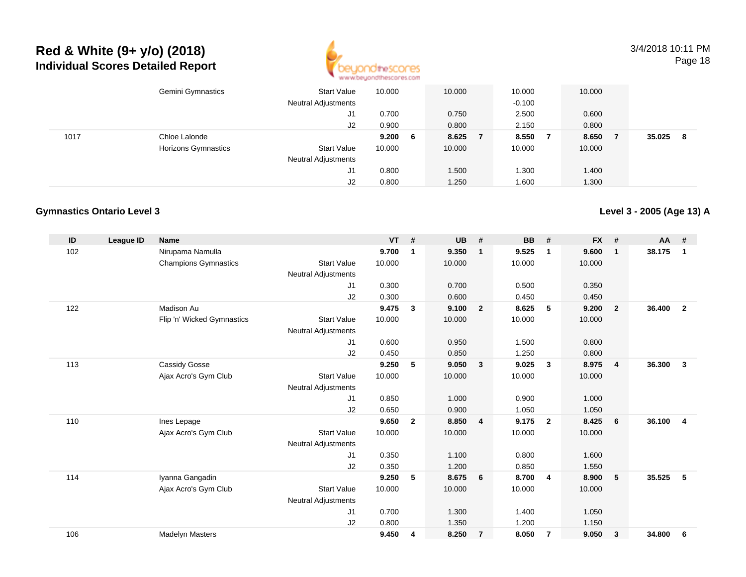

3/4/2018 10:11 PMPage 18

|      | Gemini Gymnastics          | <b>Start Value</b><br><b>Neutral Adjustments</b> | 10.000 |    | 10.000 | 10.000<br>$-0.100$ |                | 10.000 |        |    |
|------|----------------------------|--------------------------------------------------|--------|----|--------|--------------------|----------------|--------|--------|----|
|      |                            | J1                                               | 0.700  |    | 0.750  | 2.500              |                | 0.600  |        |    |
|      |                            | J2                                               | 0.900  |    | 0.800  | 2.150              |                | 0.800  |        |    |
| 1017 | Chloe Lalonde              |                                                  | 9.200  | -6 | 8.625  | 8.550              | $\overline{7}$ | 8.650  | 35.025 | -8 |
|      | <b>Horizons Gymnastics</b> | <b>Start Value</b>                               | 10.000 |    | 10.000 | 10.000             |                | 10.000 |        |    |
|      |                            | <b>Neutral Adjustments</b>                       |        |    |        |                    |                |        |        |    |
|      |                            | J1                                               | 0.800  |    | 1.500  | .300               |                | 1.400  |        |    |
|      |                            | J2                                               | 0.800  |    | 1.250  | 1.600              |                | 1.300  |        |    |

### **Gymnastics Ontario Level 3**

**Level 3 - 2005 (Age 13) A**

| ID  | League ID | <b>Name</b>                 |                            | <b>VT</b> | #            | <b>UB</b> | #                       | <b>BB</b> | #                       | <b>FX</b> | #              | $AA$ # |                |
|-----|-----------|-----------------------------|----------------------------|-----------|--------------|-----------|-------------------------|-----------|-------------------------|-----------|----------------|--------|----------------|
| 102 |           | Nirupama Namulla            |                            | 9.700     | $\mathbf 1$  | 9.350     | $\overline{\mathbf{1}}$ | 9.525     | $\mathbf 1$             | 9.600     | $\mathbf{1}$   | 38.175 | $\mathbf{1}$   |
|     |           | <b>Champions Gymnastics</b> | <b>Start Value</b>         | 10.000    |              | 10.000    |                         | 10.000    |                         | 10.000    |                |        |                |
|     |           |                             | Neutral Adjustments        |           |              |           |                         |           |                         |           |                |        |                |
|     |           |                             | J1                         | 0.300     |              | 0.700     |                         | 0.500     |                         | 0.350     |                |        |                |
|     |           |                             | J2                         | 0.300     |              | 0.600     |                         | 0.450     |                         | 0.450     |                |        |                |
| 122 |           | Madison Au                  |                            | 9.475     | $\mathbf{3}$ | 9.100     | $\overline{\mathbf{2}}$ | 8.625     | 5                       | 9.200     | $\overline{2}$ | 36.400 | $\overline{2}$ |
|     |           | Flip 'n' Wicked Gymnastics  | <b>Start Value</b>         | 10.000    |              | 10.000    |                         | 10.000    |                         | 10.000    |                |        |                |
|     |           |                             | <b>Neutral Adjustments</b> |           |              |           |                         |           |                         |           |                |        |                |
|     |           |                             | J1                         | 0.600     |              | 0.950     |                         | 1.500     |                         | 0.800     |                |        |                |
|     |           |                             | J2                         | 0.450     |              | 0.850     |                         | 1.250     |                         | 0.800     |                |        |                |
| 113 |           | Cassidy Gosse               |                            | 9.250     | 5            | 9.050     | $\mathbf{3}$            | 9.025     | 3                       | 8.975     | $\overline{4}$ | 36.300 | $\mathbf{3}$   |
|     |           | Ajax Acro's Gym Club        | <b>Start Value</b>         | 10.000    |              | 10.000    |                         | 10.000    |                         | 10.000    |                |        |                |
|     |           |                             | <b>Neutral Adjustments</b> |           |              |           |                         |           |                         |           |                |        |                |
|     |           |                             | J1                         | 0.850     |              | 1.000     |                         | 0.900     |                         | 1.000     |                |        |                |
|     |           |                             | J2                         | 0.650     |              | 0.900     |                         | 1.050     |                         | 1.050     |                |        |                |
| 110 |           | Ines Lepage                 |                            | 9.650     | $\mathbf{2}$ | 8.850     | $\overline{4}$          | 9.175     | $\overline{\mathbf{2}}$ | 8.425     | 6              | 36.100 | $\overline{4}$ |
|     |           | Ajax Acro's Gym Club        | <b>Start Value</b>         | 10.000    |              | 10.000    |                         | 10.000    |                         | 10.000    |                |        |                |
|     |           |                             | <b>Neutral Adjustments</b> |           |              |           |                         |           |                         |           |                |        |                |
|     |           |                             | J1                         | 0.350     |              | 1.100     |                         | 0.800     |                         | 1.600     |                |        |                |
|     |           |                             | J2                         | 0.350     |              | 1.200     |                         | 0.850     |                         | 1.550     |                |        |                |
| 114 |           | Iyanna Gangadin             |                            | 9.250     | 5            | 8.675     | $6\overline{6}$         | 8.700     | $\overline{4}$          | 8.900     | 5              | 35.525 | 5              |
|     |           | Ajax Acro's Gym Club        | <b>Start Value</b>         | 10.000    |              | 10.000    |                         | 10.000    |                         | 10.000    |                |        |                |
|     |           |                             | <b>Neutral Adjustments</b> |           |              |           |                         |           |                         |           |                |        |                |
|     |           |                             | J1                         | 0.700     |              | 1.300     |                         | 1.400     |                         | 1.050     |                |        |                |
|     |           |                             | J2                         | 0.800     |              | 1.350     |                         | 1.200     |                         | 1.150     |                |        |                |
| 106 |           | <b>Madelyn Masters</b>      |                            | 9.450     | 4            | 8.250     | $\overline{7}$          | 8.050     | 7                       | 9.050     | 3              | 34.800 | 6              |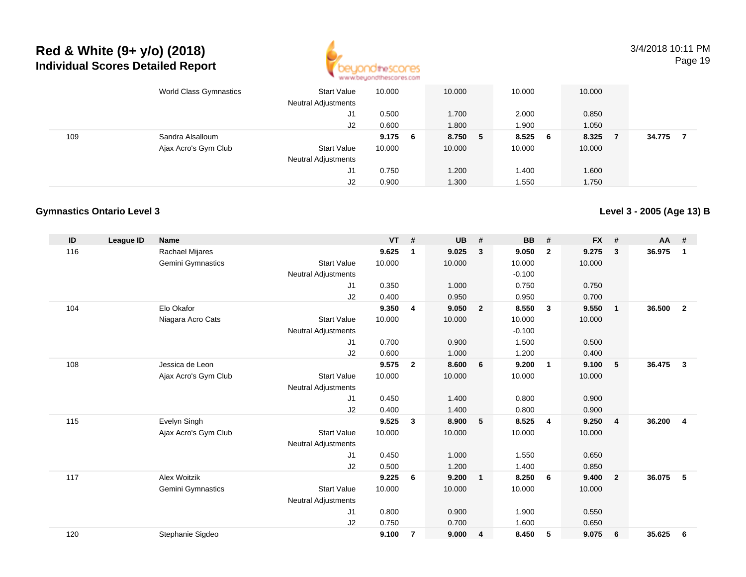

3/4/2018 10:11 PMPage 19

|     | World Class Gymnastics | <b>Start Value</b><br><b>Neutral Adjustments</b> | 10.000    | 10.000  | 10.000  | 10.000 |        |
|-----|------------------------|--------------------------------------------------|-----------|---------|---------|--------|--------|
|     |                        | J1                                               | 0.500     | 1.700   | 2.000   | 0.850  |        |
|     |                        | J2                                               | 0.600     | .800    | 1.900   | 1.050  |        |
| 109 | Sandra Alsalloum       |                                                  | $9.175$ 6 | 8.750 5 | 8.525 6 | 8.325  | 34.775 |
|     | Ajax Acro's Gym Club   | <b>Start Value</b>                               | 10.000    | 10.000  | 10.000  | 10.000 |        |
|     |                        | <b>Neutral Adjustments</b>                       |           |         |         |        |        |
|     |                        | J1                                               | 0.750     | 1.200   | 1.400   | 1.600  |        |
|     |                        | J2                                               | 0.900     | 1.300   | 1.550   | 1.750  |        |

### **Gymnastics Ontario Level 3**

**Level 3 - 2005 (Age 13) B**

| ID  | League ID | <b>Name</b>          |                            | <b>VT</b> | #              | <b>UB</b> | #              | <b>BB</b> | #              | <b>FX</b> | #              | $AA$ # |                |
|-----|-----------|----------------------|----------------------------|-----------|----------------|-----------|----------------|-----------|----------------|-----------|----------------|--------|----------------|
| 116 |           | Rachael Mijares      |                            | 9.625     | $\mathbf 1$    | 9.025     | $\mathbf{3}$   | 9.050     | $\overline{2}$ | 9.275     | 3              | 36.975 | $\mathbf{1}$   |
|     |           | Gemini Gymnastics    | <b>Start Value</b>         | 10.000    |                | 10.000    |                | 10.000    |                | 10.000    |                |        |                |
|     |           |                      | Neutral Adjustments        |           |                |           |                | $-0.100$  |                |           |                |        |                |
|     |           |                      | J1                         | 0.350     |                | 1.000     |                | 0.750     |                | 0.750     |                |        |                |
|     |           |                      | J2                         | 0.400     |                | 0.950     |                | 0.950     |                | 0.700     |                |        |                |
| 104 |           | Elo Okafor           |                            | 9.350     | 4              | 9.050     | $\overline{2}$ | 8.550     | $\mathbf{3}$   | 9.550     | $\mathbf{1}$   | 36.500 | $\overline{2}$ |
|     |           | Niagara Acro Cats    | <b>Start Value</b>         | 10.000    |                | 10.000    |                | 10.000    |                | 10.000    |                |        |                |
|     |           |                      | <b>Neutral Adjustments</b> |           |                |           |                | $-0.100$  |                |           |                |        |                |
|     |           |                      | J1                         | 0.700     |                | 0.900     |                | 1.500     |                | 0.500     |                |        |                |
|     |           |                      | J2                         | 0.600     |                | 1.000     |                | 1.200     |                | 0.400     |                |        |                |
| 108 |           | Jessica de Leon      |                            | 9.575     | $\overline{2}$ | 8.600     | 6              | 9.200     | $\mathbf{1}$   | 9.100     | 5              | 36.475 | $\mathbf{3}$   |
|     |           | Ajax Acro's Gym Club | <b>Start Value</b>         | 10.000    |                | 10.000    |                | 10.000    |                | 10.000    |                |        |                |
|     |           |                      | <b>Neutral Adjustments</b> |           |                |           |                |           |                |           |                |        |                |
|     |           |                      | J1                         | 0.450     |                | 1.400     |                | 0.800     |                | 0.900     |                |        |                |
|     |           |                      | J2                         | 0.400     |                | 1.400     |                | 0.800     |                | 0.900     |                |        |                |
| 115 |           | Evelyn Singh         |                            | 9.525     | $\mathbf{3}$   | 8.900     | 5              | 8.525     | $\overline{4}$ | 9.250     | $\overline{4}$ | 36.200 | $\overline{4}$ |
|     |           | Ajax Acro's Gym Club | <b>Start Value</b>         | 10.000    |                | 10.000    |                | 10.000    |                | 10.000    |                |        |                |
|     |           |                      | <b>Neutral Adjustments</b> |           |                |           |                |           |                |           |                |        |                |
|     |           |                      | J1                         | 0.450     |                | 1.000     |                | 1.550     |                | 0.650     |                |        |                |
|     |           |                      | J2                         | 0.500     |                | 1.200     |                | 1.400     |                | 0.850     |                |        |                |
| 117 |           | Alex Woitzik         |                            | 9.225     | 6              | 9.200     | $\overline{1}$ | 8.250     | - 6            | 9.400     | $\overline{2}$ | 36.075 | 5              |
|     |           | Gemini Gymnastics    | <b>Start Value</b>         | 10.000    |                | 10.000    |                | 10.000    |                | 10.000    |                |        |                |
|     |           |                      | <b>Neutral Adjustments</b> |           |                |           |                |           |                |           |                |        |                |
|     |           |                      | J1                         | 0.800     |                | 0.900     |                | 1.900     |                | 0.550     |                |        |                |
|     |           |                      | J2                         | 0.750     |                | 0.700     |                | 1.600     |                | 0.650     |                |        |                |
| 120 |           | Stephanie Sigdeo     |                            | 9.100     | $\overline{7}$ | 9.000     | $\overline{4}$ | 8.450     | 5              | 9.075     | 6              | 35.625 | 6              |